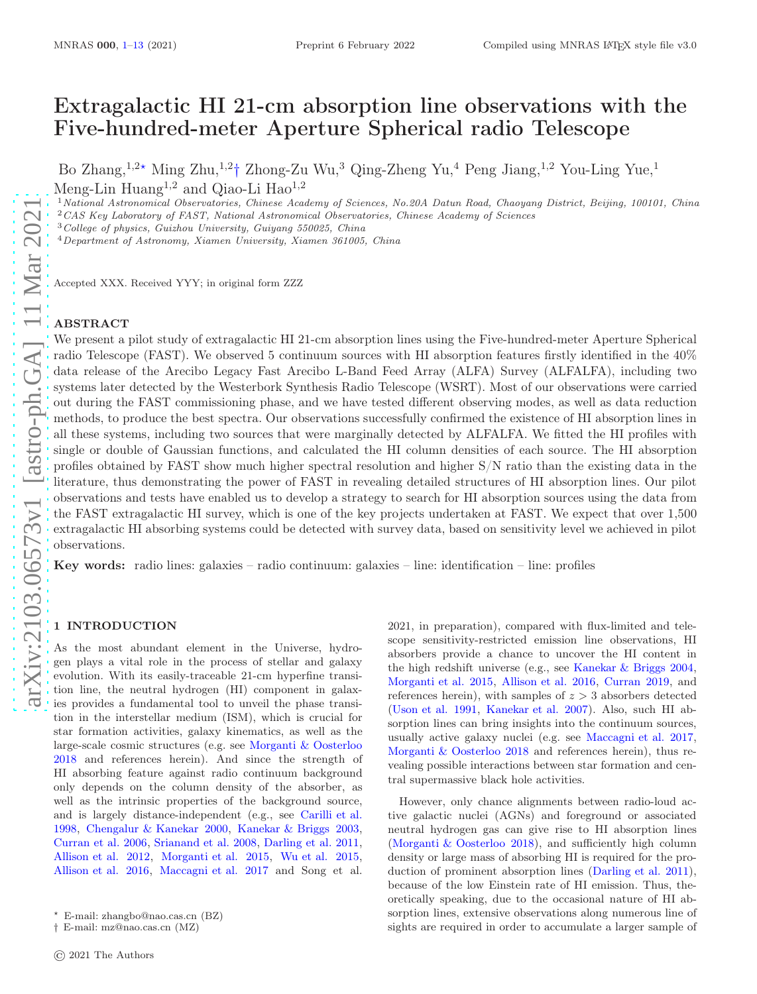# Extragalactic HI 21-cm absorption line observations with the Five-hundred-meter Aperture Spherical radio Telescope

Bo Zhang,<sup>1,2\*</sup> Ming Zhu,<sup>1,2</sup>† Zhong-Zu Wu,<sup>3</sup> Qing-Zheng Yu,<sup>4</sup> Peng Jiang,<sup>1,2</sup> You-Ling Yue,<sup>1</sup> Meng-Lin Huang<sup>1,2</sup> and Oiao-Li Hao<sup>1,2</sup>

 $1$ National Astronomical Observatories, Chinese Academy of Sciences, No.20A Datun Road, Chaoyang District, Beijing, 100101, China <sup>2</sup>CAS Key Laboratory of FAST, National Astronomical Observatories, Chinese Academy of Sciences

<sup>3</sup>College of physics, Guizhou University, Guiyang 550025, China

<sup>4</sup>Department of Astronomy, Xiamen University, Xiamen 361005, China

Accepted XXX. Received YYY; in original form ZZZ

## ABSTRACT

We present a pilot study of extragalactic HI 21-cm absorption lines using the Five-hundred-meter Aperture Spherical radio Telescope (FAST). We observed 5 continuum sources with HI absorption features firstly identified in the 40% data release of the Arecibo Legacy Fast Arecibo L-Band Feed Array (ALFA) Survey (ALFALFA), including two systems later detected by the Westerbork Synthesis Radio Telescope (WSRT). Most of our observations were carried out during the FAST commissioning phase, and we have tested different observing modes, as well as data reduction methods, to produce the best spectra. Our observations successfully confirmed the existence of HI absorption lines in all these systems, including two sources that were marginally detected by ALFALFA. We fitted the HI profiles with single or double of Gaussian functions, and calculated the HI column densities of each source. The HI absorption profiles obtained by FAST show much higher spectral resolution and higher S/N ratio than the existing data in the literature, thus demonstrating the power of FAST in revealing detailed structures of HI absorption lines. Our pilot observations and tests have enabled us to develop a strategy to search for HI absorption sources using the data from the FAST extragalactic HI survey, which is one of the key projects undertaken at FAST. We expect that over 1,500 extragalactic HI absorbing systems could be detected with survey data, based on sensitivity level we achieved in pilot observations.

Key words: radio lines: galaxies – radio continuum: galaxies – line: identification – line: profiles

## <span id="page-0-0"></span>1 INTRODUCTION

As the most abundant element in the Universe, hydrogen plays a vital role in the process of stellar and galaxy evolution. With its easily-traceable 21-cm hyperfine transition line, the neutral hydrogen (HI) component in galaxies provides a fundamental tool to unveil the phase transition in the interstellar medium (ISM), which is crucial for star formation activities, galaxy kinematics, as well as the large-scale cosmic structures (e.g. see [Morganti & Oosterloo](#page-12-0) [2018](#page-12-0) and references herein). And since the strength of HI absorbing feature against radio continuum background only depends on the column density of the absorber, as well as the intrinsic properties of the background source, and is largely distance-independent (e.g., see [Carilli et al.](#page-11-1) [1998](#page-11-1), [Chengalur & Kanekar 2000](#page-11-2), [Kanekar & Briggs 2003](#page-11-3), [Curran et al. 2006,](#page-11-4) [Srianand et al. 2008](#page-12-1), [Darling et al. 2011](#page-11-5), [Allison et al. 2012](#page-11-6), [Morganti et al. 2015,](#page-12-2) [Wu et al. 2015](#page-12-3), [Allison et al. 2016](#page-11-7), [Maccagni et al. 2017](#page-12-4) and Song et al. 2021, in preparation), compared with flux-limited and telescope sensitivity-restricted emission line observations, HI absorbers provide a chance to uncover the HI content in the high redshift universe (e.g., see [Kanekar & Briggs 2004,](#page-11-8) [Morganti et al. 2015](#page-12-2), [Allison et al. 2016,](#page-11-7) [Curran 2019,](#page-11-9) and references herein), with samples of  $z > 3$  absorbers detected [\(Uson et al. 1991](#page-12-5), [Kanekar et al. 2007\)](#page-11-10). Also, such HI absorption lines can bring insights into the continuum sources, usually active galaxy nuclei (e.g. see [Maccagni et al. 2017,](#page-12-4) [Morganti & Oosterloo 2018](#page-12-0) and references herein), thus revealing possible interactions between star formation and central supermassive black hole activities.

However, only chance alignments between radio-loud active galactic nuclei (AGNs) and foreground or associated neutral hydrogen gas can give rise to HI absorption lines [\(Morganti & Oosterloo 2018](#page-12-0)), and sufficiently high column density or large mass of absorbing HI is required for the production of prominent absorption lines [\(Darling et al. 2011](#page-11-5)), because of the low Einstein rate of HI emission. Thus, theoretically speaking, due to the occasional nature of HI absorption lines, extensive observations along numerous line of sights are required in order to accumulate a larger sample of

<sup>⋆</sup> E-mail: zhangbo@nao.cas.cn (BZ)

<sup>†</sup> E-mail: mz@nao.cas.cn (MZ)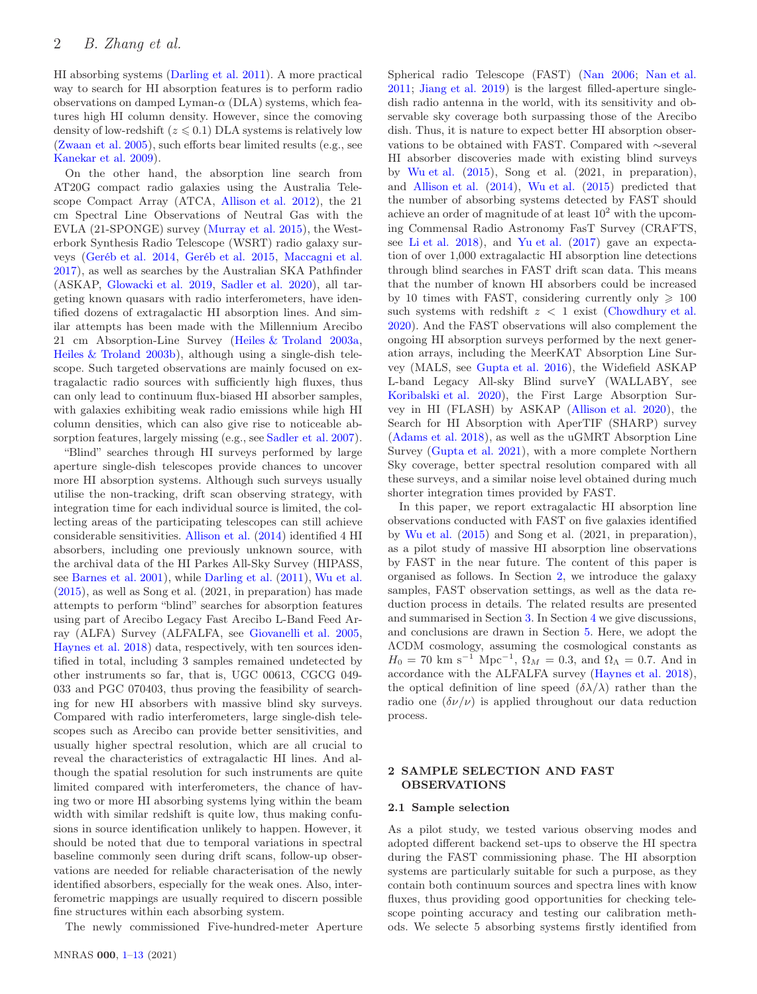HI absorbing systems [\(Darling et al. 2011](#page-11-5)). A more practical way to search for HI absorption features is to perform radio observations on damped Lyman- $\alpha$  (DLA) systems, which features high HI column density. However, since the comoving density of low-redshift  $(z \leq 0.1)$  DLA systems is relatively low [\(Zwaan et al. 2005](#page-12-6)), such efforts bear limited results (e.g., see [Kanekar et al. 2009](#page-11-11)).

On the other hand, the absorption line search from AT20G compact radio galaxies using the Australia Telescope Compact Array (ATCA, [Allison et al. 2012](#page-11-6)), the 21 cm Spectral Line Observations of Neutral Gas with the EVLA (21-SPONGE) survey [\(Murray et al. 2015](#page-12-7)), the Westerbork Synthesis Radio Telescope (WSRT) radio galaxy surveys [\(Geréb et al. 2014](#page-11-12), [Geréb et al. 2015](#page-11-13), [Maccagni et al.](#page-12-4) [2017](#page-12-4)), as well as searches by the Australian SKA Pathfinder (ASKAP, [Glowacki et al. 2019](#page-11-14), [Sadler et al. 2020](#page-12-8)), all targeting known quasars with radio interferometers, have identified dozens of extragalactic HI absorption lines. And similar attempts has been made with the Millennium Arecibo 21 cm Absorption-Line Survey [\(Heiles & Troland 2003a](#page-11-15), [Heiles & Troland 2003b](#page-11-16)), although using a single-dish telescope. Such targeted observations are mainly focused on extragalactic radio sources with sufficiently high fluxes, thus can only lead to continuum flux-biased HI absorber samples, with galaxies exhibiting weak radio emissions while high HI column densities, which can also give rise to noticeable absorption features, largely missing (e.g., see [Sadler et al. 2007](#page-12-9)).

"Blind" searches through HI surveys performed by large aperture single-dish telescopes provide chances to uncover more HI absorption systems. Although such surveys usually utilise the non-tracking, drift scan observing strategy, with integration time for each individual source is limited, the collecting areas of the participating telescopes can still achieve considerable sensitivities. [Allison et al.](#page-11-17) [\(2014\)](#page-11-17) identified 4 HI absorbers, including one previously unknown source, with the archival data of the HI Parkes All-Sky Survey (HIPASS, see [Barnes et al. 2001](#page-11-18)), while [Darling et al.](#page-11-5) [\(2011](#page-11-5)), [Wu et al.](#page-12-3) [\(2015](#page-12-3)), as well as Song et al. (2021, in preparation) has made attempts to perform "blind" searches for absorption features using part of Arecibo Legacy Fast Arecibo L-Band Feed Array (ALFA) Survey (ALFALFA, see [Giovanelli et al. 2005](#page-11-19), [Haynes et al. 2018\)](#page-11-20) data, respectively, with ten sources identified in total, including 3 samples remained undetected by other instruments so far, that is, UGC 00613, CGCG 049- 033 and PGC 070403, thus proving the feasibility of searching for new HI absorbers with massive blind sky surveys. Compared with radio interferometers, large single-dish telescopes such as Arecibo can provide better sensitivities, and usually higher spectral resolution, which are all crucial to reveal the characteristics of extragalactic HI lines. And although the spatial resolution for such instruments are quite limited compared with interferometers, the chance of having two or more HI absorbing systems lying within the beam width with similar redshift is quite low, thus making confusions in source identification unlikely to happen. However, it should be noted that due to temporal variations in spectral baseline commonly seen during drift scans, follow-up observations are needed for reliable characterisation of the newly identified absorbers, especially for the weak ones. Also, interferometric mappings are usually required to discern possible fine structures within each absorbing system.

The newly commissioned Five-hundred-meter Aperture

Spherical radio Telescope (FAST) [\(Nan 2006](#page-12-10); [Nan et al.](#page-12-11) [2011](#page-12-11); [Jiang et al. 2019](#page-11-21)) is the largest filled-aperture singledish radio antenna in the world, with its sensitivity and observable sky coverage both surpassing those of the Arecibo dish. Thus, it is nature to expect better HI absorption observations to be obtained with FAST. Compared with ∼several HI absorber discoveries made with existing blind surveys by [Wu et al.](#page-12-3) [\(2015\)](#page-12-3), Song et al. (2021, in preparation), and [Allison et al.](#page-11-17) [\(2014\)](#page-11-17), [Wu et al.](#page-12-3) [\(2015\)](#page-12-3) predicted that the number of absorbing systems detected by FAST should achieve an order of magnitude of at least  $10^2$  with the upcoming Commensal Radio Astronomy FasT Survey (CRAFTS, see [Li et al. 2018\)](#page-12-12), and [Yu et al.](#page-12-13) [\(2017](#page-12-13)) gave an expectation of over 1,000 extragalactic HI absorption line detections through blind searches in FAST drift scan data. This means that the number of known HI absorbers could be increased by 10 times with FAST, considering currently only  $\geq 100$ such systems with redshift  $z < 1$  exist [\(Chowdhury et al.](#page-11-22) [2020](#page-11-22)). And the FAST observations will also complement the ongoing HI absorption surveys performed by the next generation arrays, including the MeerKAT Absorption Line Survey (MALS, see [Gupta et al. 2016\)](#page-11-23), the Widefield ASKAP L-band Legacy All-sky Blind surveY (WALLABY, see [Koribalski et al. 2020](#page-12-14)), the First Large Absorption Survey in HI (FLASH) by ASKAP [\(Allison et al. 2020](#page-11-24)), the Search for HI Absorption with AperTIF (SHARP) survey [\(Adams et al. 2018](#page-11-25)), as well as the uGMRT Absorption Line Survey [\(Gupta et al. 2021](#page-11-26)), with a more complete Northern Sky coverage, better spectral resolution compared with all these surveys, and a similar noise level obtained during much shorter integration times provided by FAST.

In this paper, we report extragalactic HI absorption line observations conducted with FAST on five galaxies identified by [Wu et al.](#page-12-3) [\(2015\)](#page-12-3) and Song et al. (2021, in preparation), as a pilot study of massive HI absorption line observations by FAST in the near future. The content of this paper is organised as follows. In Section [2,](#page-1-0) we introduce the galaxy samples, FAST observation settings, as well as the data reduction process in details. The related results are presented and summarised in Section [3.](#page-4-0) In Section [4](#page-10-0) we give discussions, and conclusions are drawn in Section [5.](#page-11-0) Here, we adopt the ΛCDM cosmology, assuming the cosmological constants as  $H_0 = 70 \text{ km s}^{-1} \text{ Mpc}^{-1}, \ \Omega_M = 0.3, \text{ and } \Omega_{\Lambda} = 0.7. \text{ And in}$ accordance with the ALFALFA survey [\(Haynes et al. 2018](#page-11-20)), the optical definition of line speed  $(\delta \lambda/\lambda)$  rather than the radio one  $(\delta \nu/\nu)$  is applied throughout our data reduction process.

# <span id="page-1-0"></span>2 SAMPLE SELECTION AND FAST OBSERVATIONS

#### 2.1 Sample selection

As a pilot study, we tested various observing modes and adopted different backend set-ups to observe the HI spectra during the FAST commissioning phase. The HI absorption systems are particularly suitable for such a purpose, as they contain both continuum sources and spectra lines with know fluxes, thus providing good opportunities for checking telescope pointing accuracy and testing our calibration methods. We selecte 5 absorbing systems firstly identified from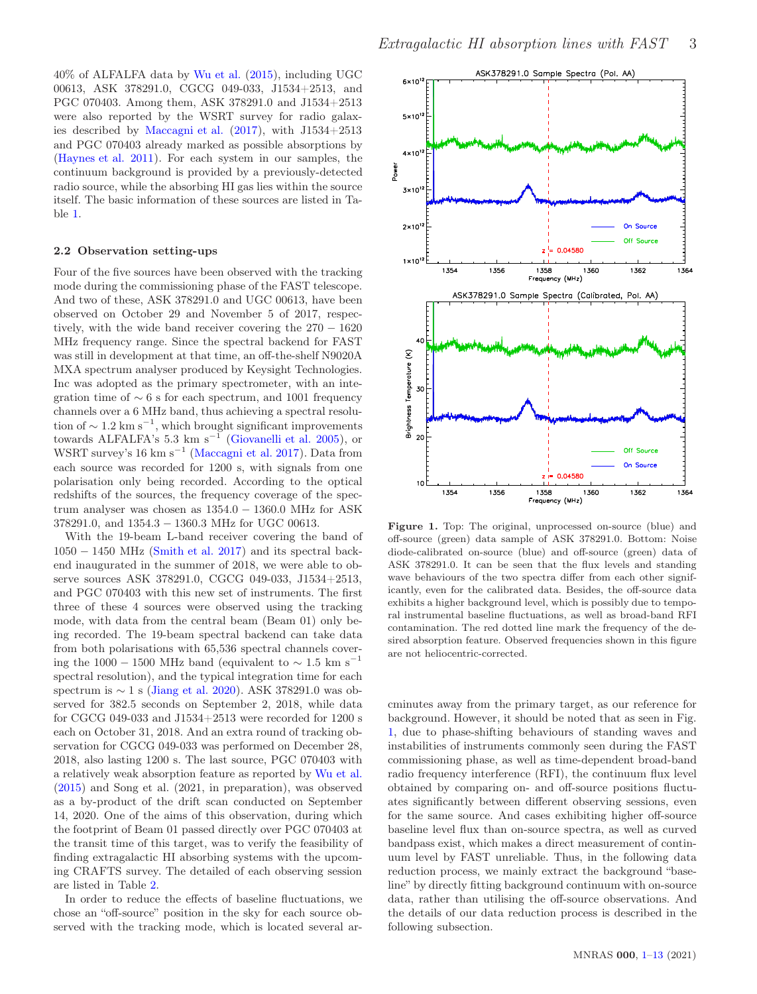40% of ALFALFA data by [Wu et al.](#page-12-3) [\(2015\)](#page-12-3), including UGC 00613, ASK 378291.0, CGCG 049-033, J1534+2513, and PGC 070403. Among them, ASK 378291.0 and J1534+2513 were also reported by the WSRT survey for radio galaxies described by [Maccagni et al.](#page-12-4) [\(2017\)](#page-12-4), with J1534+2513 and PGC 070403 already marked as possible absorptions by [\(Haynes et al. 2011](#page-11-27)). For each system in our samples, the continuum background is provided by a previously-detected radio source, while the absorbing HI gas lies within the source itself. The basic information of these sources are listed in Table [1.](#page-3-0)

#### 2.2 Observation setting-ups

Four of the five sources have been observed with the tracking mode during the commissioning phase of the FAST telescope. And two of these, ASK 378291.0 and UGC 00613, have been observed on October 29 and November 5 of 2017, respectively, with the wide band receiver covering the  $270 - 1620$ MHz frequency range. Since the spectral backend for FAST was still in development at that time, an off-the-shelf N9020A MXA spectrum analyser produced by Keysight Technologies. Inc was adopted as the primary spectrometer, with an integration time of  $\sim 6$  s for each spectrum, and 1001 frequency channels over a 6 MHz band, thus achieving a spectral resolution of  $\sim 1.2 \text{ km s}^{-1}$ , which brought significant improvements towards ALFALFA's 5.3 km s<sup>−</sup><sup>1</sup> [\(Giovanelli et al. 2005](#page-11-19)), or WSRT survey's 16 km s<sup>−</sup><sup>1</sup> [\(Maccagni et al. 2017](#page-12-4)). Data from each source was recorded for 1200 s, with signals from one polarisation only being recorded. According to the optical redshifts of the sources, the frequency coverage of the spectrum analyser was chosen as 1354.0 − 1360.0 MHz for ASK 378291.0, and 1354.3 − 1360.3 MHz for UGC 00613.

With the 19-beam L-band receiver covering the band of  $1050 - 1450$  MHz [\(Smith et al. 2017](#page-12-15)) and its spectral backend inaugurated in the summer of 2018, we were able to observe sources ASK 378291.0, CGCG 049-033, J1534+2513, and PGC 070403 with this new set of instruments. The first three of these 4 sources were observed using the tracking mode, with data from the central beam (Beam 01) only being recorded. The 19-beam spectral backend can take data from both polarisations with 65,536 spectral channels covering the 1000 − 1500 MHz band (equivalent to  $\sim 1.5$  km s<sup>-1</sup> spectral resolution), and the typical integration time for each spectrum is ∼ 1 s [\(Jiang et al. 2020](#page-11-28)). ASK 378291.0 was observed for 382.5 seconds on September 2, 2018, while data for CGCG 049-033 and J1534+2513 were recorded for 1200 s each on October 31, 2018. And an extra round of tracking observation for CGCG 049-033 was performed on December 28, 2018, also lasting 1200 s. The last source, PGC 070403 with a relatively weak absorption feature as reported by [Wu et al.](#page-12-3) [\(2015](#page-12-3)) and Song et al. (2021, in preparation), was observed as a by-product of the drift scan conducted on September 14, 2020. One of the aims of this observation, during which the footprint of Beam 01 passed directly over PGC 070403 at the transit time of this target, was to verify the feasibility of finding extragalactic HI absorbing systems with the upcoming CRAFTS survey. The detailed of each observing session are listed in Table [2.](#page-3-1)

In order to reduce the effects of baseline fluctuations, we chose an "off-source" position in the sky for each source observed with the tracking mode, which is located several ar-



<span id="page-2-0"></span>Figure 1. Top: The original, unprocessed on-source (blue) and off-source (green) data sample of ASK 378291.0. Bottom: Noise diode-calibrated on-source (blue) and off-source (green) data of ASK 378291.0. It can be seen that the flux levels and standing wave behaviours of the two spectra differ from each other significantly, even for the calibrated data. Besides, the off-source data exhibits a higher background level, which is possibly due to temporal instrumental baseline fluctuations, as well as broad-band RFI contamination. The red dotted line mark the frequency of the desired absorption feature. Observed frequencies shown in this figure are not heliocentric-corrected.

cminutes away from the primary target, as our reference for background. However, it should be noted that as seen in Fig. [1,](#page-2-0) due to phase-shifting behaviours of standing waves and instabilities of instruments commonly seen during the FAST commissioning phase, as well as time-dependent broad-band radio frequency interference (RFI), the continuum flux level obtained by comparing on- and off-source positions fluctuates significantly between different observing sessions, even for the same source. And cases exhibiting higher off-source baseline level flux than on-source spectra, as well as curved bandpass exist, which makes a direct measurement of continuum level by FAST unreliable. Thus, in the following data reduction process, we mainly extract the background "baseline" by directly fitting background continuum with on-source data, rather than utilising the off-source observations. And the details of our data reduction process is described in the following subsection.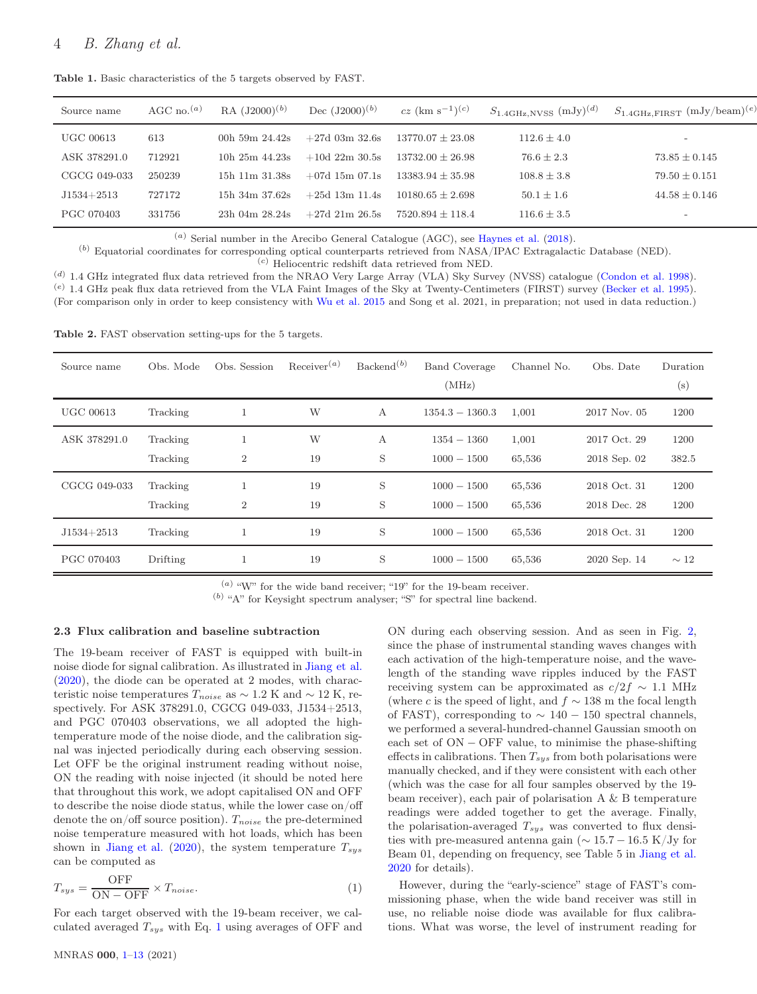<span id="page-3-0"></span>

| Source name  | AGC no. <sup><math>(a)</math></sup> | RA $(J2000)^{(b)}$ | Dec $(J2000)^{(b)}$ | $cz$ (km s <sup>-1</sup> ) <sup>(c)</sup> | $S_{1.4\text{GHz,NVSS}}$ (mJy) <sup>(d)</sup> | $S_{1.4\text{GHz,FIRST}}$ (mJy/beam) <sup>(e)</sup> |
|--------------|-------------------------------------|--------------------|---------------------|-------------------------------------------|-----------------------------------------------|-----------------------------------------------------|
| UGC 00613    | 613                                 | 00h 59m $24.42s$   | $+27d$ 03m 32.6s    | $13770.07 \pm 23.08$                      | $112.6 \pm 4.0$                               | $\overline{\phantom{0}}$                            |
| ASK 378291.0 | 712921                              | 10h $25m$ $44.23s$ | $+10d$ 22m 30.5s    | $13732.00 + 26.98$                        | $76.6 \pm 2.3$                                | $73.85 \pm 0.145$                                   |
| CGCG 049-033 | 250239                              | 15h 11m 31.38s     | $+07d$ 15m 07.1s    | $13383.94 \pm 35.98$                      | $108.8 \pm 3.8$                               | $79.50 \pm 0.151$                                   |
| $J1534+2513$ | 727172                              | $15h$ 34m $37.62s$ | $+25d$ 13m 11.4s    | $10180.65 + 2.698$                        | $50.1 \pm 1.6$                                | $44.58 \pm 0.146$                                   |
| PGC 070403   | 331756                              | $23h$ 04m $28.24s$ | $+27d$ 21m 26.5s    | $7520.894 \pm 118.4$                      | $116.6 \pm 3.5$                               | $\overline{\phantom{a}}$                            |

Table 1. Basic characteristics of the 5 targets observed by FAST.

(a) Serial number in the Arecibo General Catalogue (AGC), see [Haynes et al.](#page-11-20) [\(2018](#page-11-20)).

(b) Equatorial coordinates for corresponding optical counterparts retrieved from NASA/IPAC Extragalactic Database (NED).

 $\left( \text{c} \right)$  Heliocentric redshift data retrieved from NED.

(d) 1.4 GHz integrated flux data retrieved from the NRAO Very Large Array (VLA) Sky Survey (NVSS) catalogue [\(Condon et al. 1998](#page-11-29)).  $(e)$  1.4 GHz peak flux data retrieved from the VLA Faint Images of the Sky at Twenty-Centimeters (FIRST) survey [\(Becker et al. 1995](#page-11-30)). (For comparison only in order to keep consistency with [Wu et al. 2015](#page-12-3) and Song et al. 2021, in preparation; not used in data reduction.)

Table 2. FAST observation setting-ups for the 5 targets.

<span id="page-3-1"></span>

| Source name      | Obs. Mode            | Obs. Session        | $\text{Receiver}^{(a)}$ | Backend <sup>(b)</sup> | <b>Band Coverage</b><br>(MHz)  | Channel No.      | Obs. Date                    | Duration<br>(s) |
|------------------|----------------------|---------------------|-------------------------|------------------------|--------------------------------|------------------|------------------------------|-----------------|
| <b>UGC 00613</b> | Tracking             |                     | W                       | А                      | $1354.3 - 1360.3$              | 1,001            | $2017$ Nov. $05$             | 1200            |
| ASK 378291.0     | Tracking<br>Tracking | $\overline{2}$      | W<br>19                 | А<br>S                 | $1354 - 1360$<br>$1000 - 1500$ | 1,001<br>65,536  | 2017 Oct. 29<br>2018 Sep. 02 | 1200<br>382.5   |
| CGCG 049-033     | Tracking<br>Tracking | 1<br>$\overline{2}$ | 19<br>19                | S<br>S                 | $1000 - 1500$<br>$1000 - 1500$ | 65,536<br>65,536 | 2018 Oct. 31<br>2018 Dec. 28 | 1200<br>1200    |
| $J1534 + 2513$   | Tracking             |                     | 19                      | S                      | $1000 - 1500$                  | 65,536           | 2018 Oct. 31                 | 1200            |
| PGC 070403       | Drifting             |                     | 19                      | S                      | $1000 - 1500$                  | 65,536           | 2020 Sep. 14                 | $\sim 12$       |

 $(a)$  "W" for the wide band receiver; "19" for the 19-beam receiver.

(b) "A" for Keysight spectrum analyser; "S" for spectral line backend.

#### 2.3 Flux calibration and baseline subtraction

The 19-beam receiver of FAST is equipped with built-in noise diode for signal calibration. As illustrated in [Jiang et al.](#page-11-28) [\(2020](#page-11-28)), the diode can be operated at 2 modes, with characteristic noise temperatures  $T_{noise}$  as  $\sim 1.2$  K and  $\sim 12$  K, respectively. For ASK 378291.0, CGCG 049-033, J1534+2513, and PGC 070403 observations, we all adopted the hightemperature mode of the noise diode, and the calibration signal was injected periodically during each observing session. Let OFF be the original instrument reading without noise, ON the reading with noise injected (it should be noted here that throughout this work, we adopt capitalised ON and OFF to describe the noise diode status, while the lower case on/off denote the on/off source position).  $T_{noise}$  the pre-determined noise temperature measured with hot loads, which has been shown in [Jiang et al.](#page-11-28) [\(2020\)](#page-11-28), the system temperature  $T_{sys}$ can be computed as

<span id="page-3-2"></span>
$$
T_{sys} = \frac{\text{OFF}}{\text{ON} - \text{OFF}} \times T_{noise}.
$$
 (1)

For each target observed with the 19-beam receiver, we calculated averaged  $T_{sys}$  with Eq. [1](#page-3-2) using averages of OFF and ON during each observing session. And as seen in Fig. [2,](#page-4-1) since the phase of instrumental standing waves changes with each activation of the high-temperature noise, and the wavelength of the standing wave ripples induced by the FAST receiving system can be approximated as  $c/2f \sim 1.1$  MHz (where c is the speed of light, and  $f \sim 138$  m the focal length of FAST), corresponding to  $\sim 140 - 150$  spectral channels, we performed a several-hundred-channel Gaussian smooth on each set of ON − OFF value, to minimise the phase-shifting effects in calibrations. Then  $T_{sys}$  from both polarisations were manually checked, and if they were consistent with each other (which was the case for all four samples observed by the 19 beam receiver), each pair of polarisation A & B temperature readings were added together to get the average. Finally, the polarisation-averaged  $T_{sys}$  was converted to flux densities with pre-measured antenna gain ( $\sim 15.7 - 16.5$  K/Jy for Beam 01, depending on frequency, see Table 5 in [Jiang et al.](#page-11-28) [2020](#page-11-28) for details).

However, during the "early-science" stage of FAST's commissioning phase, when the wide band receiver was still in use, no reliable noise diode was available for flux calibrations. What was worse, the level of instrument reading for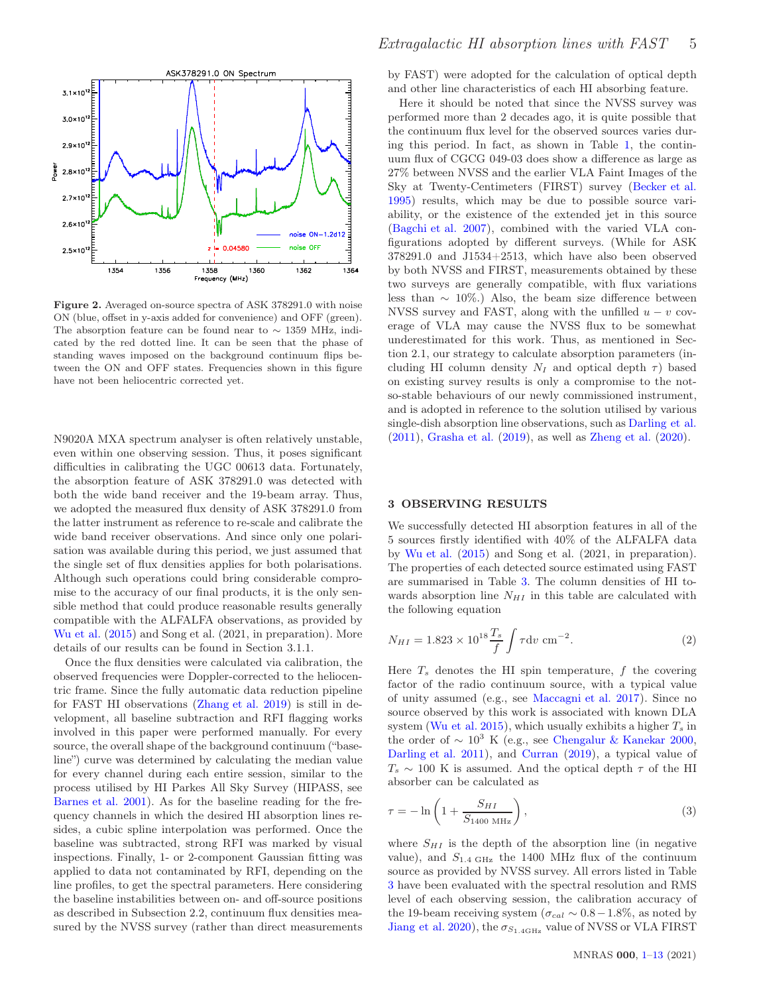

<span id="page-4-1"></span>Figure 2. Averaged on-source spectra of ASK 378291.0 with noise ON (blue, offset in y-axis added for convenience) and OFF (green). The absorption feature can be found near to ∼ 1359 MHz, indicated by the red dotted line. It can be seen that the phase of standing waves imposed on the background continuum flips between the ON and OFF states. Frequencies shown in this figure have not been heliocentric corrected yet.

N9020A MXA spectrum analyser is often relatively unstable, even within one observing session. Thus, it poses significant difficulties in calibrating the UGC 00613 data. Fortunately, the absorption feature of ASK 378291.0 was detected with both the wide band receiver and the 19-beam array. Thus, we adopted the measured flux density of ASK 378291.0 from the latter instrument as reference to re-scale and calibrate the wide band receiver observations. And since only one polarisation was available during this period, we just assumed that the single set of flux densities applies for both polarisations. Although such operations could bring considerable compromise to the accuracy of our final products, it is the only sensible method that could produce reasonable results generally compatible with the ALFALFA observations, as provided by [Wu et al.](#page-12-3) [\(2015](#page-12-3)) and Song et al. (2021, in preparation). More details of our results can be found in Section 3.1.1.

Once the flux densities were calculated via calibration, the observed frequencies were Doppler-corrected to the heliocentric frame. Since the fully automatic data reduction pipeline for FAST HI observations [\(Zhang et al. 2019\)](#page-12-16) is still in development, all baseline subtraction and RFI flagging works involved in this paper were performed manually. For every source, the overall shape of the background continuum ("baseline") curve was determined by calculating the median value for every channel during each entire session, similar to the process utilised by HI Parkes All Sky Survey (HIPASS, see [Barnes et al. 2001](#page-11-18)). As for the baseline reading for the frequency channels in which the desired HI absorption lines resides, a cubic spline interpolation was performed. Once the baseline was subtracted, strong RFI was marked by visual inspections. Finally, 1- or 2-component Gaussian fitting was applied to data not contaminated by RFI, depending on the line profiles, to get the spectral parameters. Here considering the baseline instabilities between on- and off-source positions as described in Subsection 2.2, continuum flux densities measured by the NVSS survey (rather than direct measurements by FAST) were adopted for the calculation of optical depth and other line characteristics of each HI absorbing feature.

Here it should be noted that since the NVSS survey was performed more than 2 decades ago, it is quite possible that the continuum flux level for the observed sources varies during this period. In fact, as shown in Table [1,](#page-3-0) the continuum flux of CGCG 049-03 does show a difference as large as 27% between NVSS and the earlier VLA Faint Images of the Sky at Twenty-Centimeters (FIRST) survey [\(Becker et al.](#page-11-30) [1995](#page-11-30)) results, which may be due to possible source variability, or the existence of the extended jet in this source [\(Bagchi et al. 2007\)](#page-11-31), combined with the varied VLA configurations adopted by different surveys. (While for ASK 378291.0 and J1534+2513, which have also been observed by both NVSS and FIRST, measurements obtained by these two surveys are generally compatible, with flux variations less than  $\sim 10\%$ .) Also, the beam size difference between NVSS survey and FAST, along with the unfilled  $u - v$  coverage of VLA may cause the NVSS flux to be somewhat underestimated for this work. Thus, as mentioned in Section 2.1, our strategy to calculate absorption parameters (including HI column density  $N_I$  and optical depth  $\tau$ ) based on existing survey results is only a compromise to the notso-stable behaviours of our newly commissioned instrument, and is adopted in reference to the solution utilised by various single-dish absorption line observations, such as [Darling et al.](#page-11-5) [\(2011](#page-11-5)), [Grasha et al.](#page-11-32) [\(2019\)](#page-11-32), as well as [Zheng et al.](#page-12-17) [\(2020](#page-12-17)).

# <span id="page-4-0"></span>3 OBSERVING RESULTS

We successfully detected HI absorption features in all of the 5 sources firstly identified with 40% of the ALFALFA data by [Wu et al.](#page-12-3) [\(2015\)](#page-12-3) and Song et al. (2021, in preparation). The properties of each detected source estimated using FAST are summarised in Table [3.](#page-6-0) The column densities of HI towards absorption line  $N_{HI}$  in this table are calculated with the following equation

<span id="page-4-2"></span>
$$
N_{HI} = 1.823 \times 10^{18} \frac{T_s}{f} \int \tau \, \mathrm{d}v \, \mathrm{cm}^{-2}.
$$
 (2)

Here  $T<sub>s</sub>$  denotes the HI spin temperature, f the covering factor of the radio continuum source, with a typical value of unity assumed (e.g., see [Maccagni et al. 2017](#page-12-4)). Since no source observed by this work is associated with known DLA system [\(Wu et al. 2015](#page-12-3)), which usually exhibits a higher  $T_s$  in the order of  $\sim 10^3$  K (e.g., see [Chengalur & Kanekar 2000,](#page-11-2) [Darling et al. 2011](#page-11-5)), and [Curran](#page-11-9) [\(2019](#page-11-9)), a typical value of  $T_s \sim 100$  K is assumed. And the optical depth  $\tau$  of the HI absorber can be calculated as

$$
\tau = -\ln\left(1 + \frac{S_{HI}}{S_{1400 \text{ MHz}}}\right),\tag{3}
$$

where  $S_{HI}$  is the depth of the absorption line (in negative value), and  $S_{1.4 \text{ GHz}}$  the 1400 MHz flux of the continuum source as provided by NVSS survey. All errors listed in Table [3](#page-6-0) have been evaluated with the spectral resolution and RMS level of each observing session, the calibration accuracy of the 19-beam receiving system ( $\sigma_{cal} \sim 0.8-1.8\%$ , as noted by [Jiang et al. 2020\)](#page-11-28), the  $\sigma_{S_{1.4\text{GHz}}}$  value of NVSS or VLA FIRST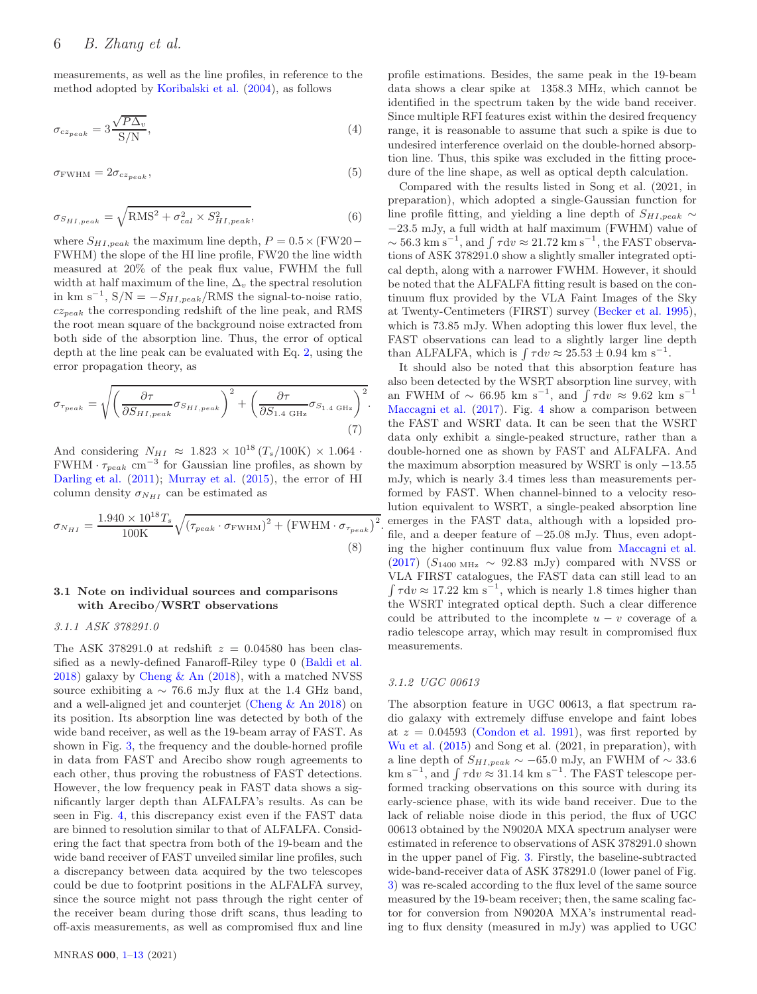measurements, as well as the line profiles, in reference to the method adopted by [Koribalski et al.](#page-11-33) [\(2004](#page-11-33)), as follows

$$
\sigma_{cz_{peak}} = 3 \frac{\sqrt{P\Delta_v}}{\text{S/N}},\tag{4}
$$

$$
\sigma_{\text{FWHM}} = 2\sigma_{cz_{peak}},\tag{5}
$$

$$
\sigma_{SHI,peak} = \sqrt{\text{RMS}^2 + \sigma_{cal}^2 \times S_{HI,peak}^2},\tag{6}
$$

where  $S_{HI,peak}$  the maximum line depth,  $P = 0.5 \times (FW20 -$ FWHM) the slope of the HI line profile, FW20 the line width measured at 20% of the peak flux value, FWHM the full width at half maximum of the line,  $\Delta_v$  the spectral resolution in km s<sup>-1</sup>, S/N =  $-S_{HI,peak}/RMS$  the signal-to-noise ratio,  $cz_{peak}$  the corresponding redshift of the line peak, and RMS the root mean square of the background noise extracted from both side of the absorption line. Thus, the error of optical depth at the line peak can be evaluated with Eq. [2,](#page-4-2) using the error propagation theory, as

$$
\sigma_{\tau_{peak}} = \sqrt{\left(\frac{\partial \tau}{\partial S_{HI,peak}} \sigma_{S_{HI,peak}}\right)^2 + \left(\frac{\partial \tau}{\partial S_{1.4 \text{ GHz}}} \sigma_{S_{1.4 \text{ GHz}}}\right)^2}.
$$
\n(7)

And considering  $N_{HI} \approx 1.823 \times 10^{18} (T_s/100 \text{K}) \times 1.064$ .  $FWHM \cdot \tau_{peak}$  cm<sup>-3</sup> for Gaussian line profiles, as shown by [Darling et al.](#page-11-5) [\(2011](#page-11-5)); [Murray et al.](#page-12-7) [\(2015](#page-12-7)), the error of HI column density  $\sigma_{N_{HI}}$  can be estimated as

$$
\sigma_{N_{HI}} = \frac{1.940 \times 10^{18} T_s}{100 \text{K}} \sqrt{\left(\tau_{peak} \cdot \sigma_{\text{FWHM}}\right)^2 + \left(\text{FWHM} \cdot \sigma_{\tau_{peak}}\right)^2}
$$
\n(8)

# 3.1 Note on individual sources and comparisons with Arecibo/WSRT observations

## 3.1.1 ASK 378291.0

The ASK 378291.0 at redshift  $z = 0.04580$  has been classified as a newly-defined Fanaroff-Riley type 0 [\(Baldi et al.](#page-11-34) [2018](#page-11-34)) galaxy by [Cheng & An](#page-11-35) [\(2018\)](#page-11-35), with a matched NVSS source exhibiting a  $\sim$  76.6 mJy flux at the 1.4 GHz band, and a well-aligned jet and counterjet [\(Cheng & An 2018\)](#page-11-35) on its position. Its absorption line was detected by both of the wide band receiver, as well as the 19-beam array of FAST. As shown in Fig. [3,](#page-7-0) the frequency and the double-horned profile in data from FAST and Arecibo show rough agreements to each other, thus proving the robustness of FAST detections. However, the low frequency peak in FAST data shows a significantly larger depth than ALFALFA's results. As can be seen in Fig. [4,](#page-7-1) this discrepancy exist even if the FAST data are binned to resolution similar to that of ALFALFA. Considering the fact that spectra from both of the 19-beam and the wide band receiver of FAST unveiled similar line profiles, such a discrepancy between data acquired by the two telescopes could be due to footprint positions in the ALFALFA survey, since the source might not pass through the right center of the receiver beam during those drift scans, thus leading to off-axis measurements, as well as compromised flux and line profile estimations. Besides, the same peak in the 19-beam data shows a clear spike at 1358.3 MHz, which cannot be identified in the spectrum taken by the wide band receiver. Since multiple RFI features exist within the desired frequency range, it is reasonable to assume that such a spike is due to undesired interference overlaid on the double-horned absorption line. Thus, this spike was excluded in the fitting procedure of the line shape, as well as optical depth calculation.

Compared with the results listed in Song et al. (2021, in preparation), which adopted a single-Gaussian function for line profile fitting, and yielding a line depth of  $S_{HI,peak}$  ∼ −23.5 mJy, a full width at half maximum (FWHM) value of  $\sim 56.3 \text{ km s}^{-1}$ , and  $\int \tau \, dv \approx 21.72 \text{ km s}^{-1}$ , the FAST observations of ASK 378291.0 show a slightly smaller integrated optical depth, along with a narrower FWHM. However, it should be noted that the ALFALFA fitting result is based on the continuum flux provided by the VLA Faint Images of the Sky at Twenty-Centimeters (FIRST) survey [\(Becker et al. 1995](#page-11-30)), which is 73.85 mJy. When adopting this lower flux level, the FAST observations can lead to a slightly larger line depth than ALFALFA, which is  $\int \tau dv \approx 25.53 \pm 0.94$  km s<sup>-1</sup>.

It should also be noted that this absorption feature has also been detected by the WSRT absorption line survey, with an FWHM of  $\sim$  66.95 km s<sup>-1</sup>, and  $\int \tau dv \approx 9.62$  km s<sup>-1</sup> [Maccagni et al.](#page-12-4) [\(2017](#page-12-4)). Fig. [4](#page-7-1) show a comparison between the FAST and WSRT data. It can be seen that the WSRT data only exhibit a single-peaked structure, rather than a double-horned one as shown by FAST and ALFALFA. And the maximum absorption measured by WSRT is only −13.55 mJy, which is nearly 3.4 times less than measurements performed by FAST. When channel-binned to a velocity resolution equivalent to WSRT, a single-peaked absorption line emerges in the FAST data, although with a lopsided profile, and a deeper feature of −25.08 mJy. Thus, even adopting the higher continuum flux value from [Maccagni et al.](#page-12-4) [\(2017](#page-12-4)) ( $S_{1400 \text{ MHz}} \sim 92.83 \text{ mJy}$ ) compared with NVSS or VLA FIRST catalogues, the FAST data can still lead to an  $\int \tau dv \approx 17.22$  km s<sup>-1</sup>, which is nearly 1.8 times higher than the WSRT integrated optical depth. Such a clear difference could be attributed to the incomplete  $u - v$  coverage of a radio telescope array, which may result in compromised flux measurements.

## 3.1.2 UGC 00613

.

The absorption feature in UGC 00613, a flat spectrum radio galaxy with extremely diffuse envelope and faint lobes at  $z = 0.04593$  [\(Condon et al. 1991\)](#page-11-36), was first reported by [Wu et al.](#page-12-3) [\(2015](#page-12-3)) and Song et al. (2021, in preparation), with a line depth of  $S_{HI,peak} \sim -65.0$  mJy, an FWHM of  $\sim 33.6$ km s<sup>-1</sup>, and  $\int \tau dv \approx 31.14 \text{ km s}^{-1}$ . The FAST telescope performed tracking observations on this source with during its early-science phase, with its wide band receiver. Due to the lack of reliable noise diode in this period, the flux of UGC 00613 obtained by the N9020A MXA spectrum analyser were estimated in reference to observations of ASK 378291.0 shown in the upper panel of Fig. [3.](#page-7-0) Firstly, the baseline-subtracted wide-band-receiver data of ASK 378291.0 (lower panel of Fig. [3\)](#page-7-0) was re-scaled according to the flux level of the same source measured by the 19-beam receiver; then, the same scaling factor for conversion from N9020A MXA's instrumental reading to flux density (measured in mJy) was applied to UGC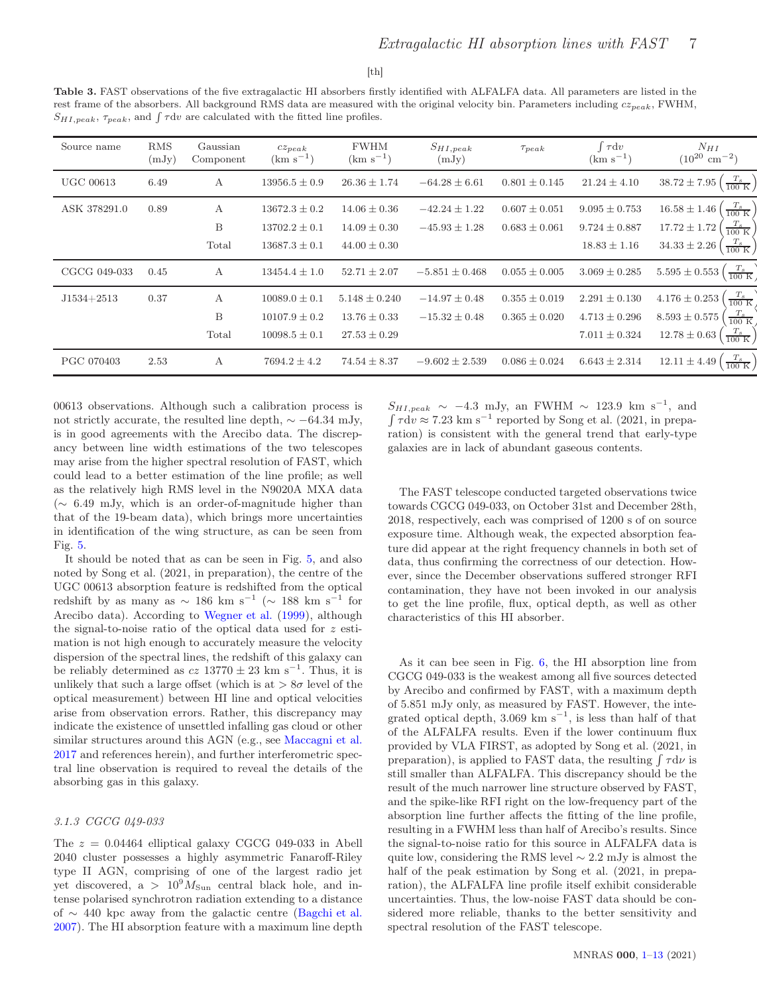#### $[th]$

<span id="page-6-0"></span>Table 3. FAST observations of the five extragalactic HI absorbers firstly identified with ALFALFA data. All parameters are listed in the rest frame of the absorbers. All background RMS data are measured with the original velocity bin. Parameters including  $cz_{peak}$ , FWHM,  $S_{HI,peak}$ ,  $\tau_{peak}$ , and  $\int \tau dv$  are calculated with the fitted line profiles.

| Source name      | <b>RMS</b><br>(mJy) | Gaussian<br>Component | $cz_{peak}$<br>$(km s^{-1})$ | <b>FWHM</b><br>$(km s^{-1})$ | $S_{HI,peak}$<br>(mJy) | $\tau_{peak}$     | $\tau dv$<br>$(km s^{-1})$ | $N_{HI}$<br>$(10^{20} \text{ cm}^{-2})$                      |
|------------------|---------------------|-----------------------|------------------------------|------------------------------|------------------------|-------------------|----------------------------|--------------------------------------------------------------|
| <b>UGC 00613</b> | 6.49                | А                     | $13956.5 \pm 0.9$            | $26.36 \pm 1.74$             | $-64.28 \pm 6.61$      | $0.801 \pm 0.145$ | $21.24 \pm 4.10$           | $\left(\frac{T_s}{100 \text{ K}}\right)$<br>$38.72 \pm 7.95$ |
| ASK 378291.0     | 0.89                | А                     | $13672.3 \pm 0.2$            | $14.06 \pm 0.36$             | $-42.24 \pm 1.22$      | $0.607 \pm 0.051$ | $9.095 \pm 0.753$          | $\frac{T_s}{100~\mathrm{K}}$<br>$16.58 \pm 1.46$             |
|                  |                     | B                     | $13702.2 \pm 0.1$            | $14.09 \pm 0.30$             | $-45.93 \pm 1.28$      | $0.683 \pm 0.061$ | $9.724 \pm 0.887$          | $\frac{T_S}{100~\mathrm{K}}$<br>$17.72 \pm 1.72$             |
|                  |                     | Total                 | $13687.3 \pm 0.1$            | $44.00 \pm 0.30$             |                        |                   | $18.83 \pm 1.16$           | $\frac{T_s}{100 \text{ K}}$<br>$34.33 \pm 2.26$              |
| CGCG 049-033     | 0.45                | A                     | $13454.4 \pm 1.0$            | $52.71 \pm 2.07$             | $-5.851 \pm 0.468$     | $0.055 \pm 0.005$ | $3.069 \pm 0.285$          | $\frac{T_s}{100~\mathrm{K}}$<br>$5.595 \pm 0.553$            |
| $J1534 + 2513$   | 0.37                | А                     | $10089.0 \pm 0.1$            | $5.148 \pm 0.240$            | $-14.97 \pm 0.48$      | $0.355 \pm 0.019$ | $2.291 \pm 0.130$          | $\frac{T_s}{100~\mathrm{K}}$<br>$4.176 \pm 0.253$            |
|                  |                     | B                     | $10107.9 \pm 0.2$            | $13.76 \pm 0.33$             | $-15.32 \pm 0.48$      | $0.365 \pm 0.020$ | $4.713 \pm 0.296$          | $\frac{T_s}{100~\mathrm{K}}$<br>$8.593 \pm 0.575$            |
|                  |                     | Total                 | $10098.5 \pm 0.1$            | $27.53 \pm 0.29$             |                        |                   | $7.011 \pm 0.324$          | $\frac{T_s}{100 \text{ K}}$<br>$12.78 \pm 0.63$              |
| PGC 070403       | 2.53                | $\mathbf{A}$          | $7694.2 \pm 4.2$             | $74.54 \pm 8.37$             | $-9.602 \pm 2.539$     | $0.086 \pm 0.024$ | $6.643 \pm 2.314$          | $\frac{T_s}{100~\mathrm{K}}$<br>$12.11 \pm 4.49$             |

00613 observations. Although such a calibration process is not strictly accurate, the resulted line depth,  $\sim -64.34$  mJy, is in good agreements with the Arecibo data. The discrepancy between line width estimations of the two telescopes may arise from the higher spectral resolution of FAST, which could lead to a better estimation of the line profile; as well as the relatively high RMS level in the N9020A MXA data (∼ 6.49 mJy, which is an order-of-magnitude higher than that of the 19-beam data), which brings more uncertainties in identification of the wing structure, as can be seen from Fig. [5.](#page-7-2)

It should be noted that as can be seen in Fig. [5,](#page-7-2) and also noted by Song et al. (2021, in preparation), the centre of the UGC 00613 absorption feature is redshifted from the optical redshift by as many as  $\sim 186$  km s<sup>-1</sup> ( $\sim 188$  km s<sup>-1</sup> for Arecibo data). According to [Wegner et al.](#page-12-18) [\(1999](#page-12-18)), although the signal-to-noise ratio of the optical data used for z estimation is not high enough to accurately measure the velocity dispersion of the spectral lines, the redshift of this galaxy can be reliably determined as  $cz$  13770  $\pm$  23 km s<sup>-1</sup>. Thus, it is unlikely that such a large offset (which is at  $> 8\sigma$  level of the optical measurement) between HI line and optical velocities arise from observation errors. Rather, this discrepancy may indicate the existence of unsettled infalling gas cloud or other similar structures around this AGN (e.g., see [Maccagni et al.](#page-12-4) [2017](#page-12-4) and references herein), and further interferometric spectral line observation is required to reveal the details of the absorbing gas in this galaxy.

# 3.1.3 CGCG 049-033

The  $z = 0.04464$  elliptical galaxy CGCG 049-033 in Abell 2040 cluster possesses a highly asymmetric Fanaroff-Riley type II AGN, comprising of one of the largest radio jet yet discovered, a >  $10^9 M_{\text{Sun}}$  central black hole, and intense polarised synchrotron radiation extending to a distance of ∼ 440 kpc away from the galactic centre [\(Bagchi et al.](#page-11-31) [2007](#page-11-31)). The HI absorption feature with a maximum line depth

 $S_{HI,peak} \sim -4.3$  mJy, an FWHM  $\sim 123.9$  km s<sup>-1</sup>, and  $\int \tau \, dv \approx 7.23 \text{ km s}^{-1}$  reported by Song et al. (2021, in preparation) is consistent with the general trend that early-type galaxies are in lack of abundant gaseous contents.

The FAST telescope conducted targeted observations twice towards CGCG 049-033, on October 31st and December 28th, 2018, respectively, each was comprised of 1200 s of on source exposure time. Although weak, the expected absorption feature did appear at the right frequency channels in both set of data, thus confirming the correctness of our detection. However, since the December observations suffered stronger RFI contamination, they have not been invoked in our analysis to get the line profile, flux, optical depth, as well as other characteristics of this HI absorber.

As it can bee seen in Fig. [6,](#page-8-0) the HI absorption line from CGCG 049-033 is the weakest among all five sources detected by Arecibo and confirmed by FAST, with a maximum depth of 5.851 mJy only, as measured by FAST. However, the integrated optical depth, 3.069 km  $s^{-1}$ , is less than half of that of the ALFALFA results. Even if the lower continuum flux provided by VLA FIRST, as adopted by Song et al. (2021, in preparation), is applied to FAST data, the resulting  $\int \tau d\nu$  is still smaller than ALFALFA. This discrepancy should be the result of the much narrower line structure observed by FAST, and the spike-like RFI right on the low-frequency part of the absorption line further affects the fitting of the line profile, resulting in a FWHM less than half of Arecibo's results. Since the signal-to-noise ratio for this source in ALFALFA data is quite low, considering the RMS level ∼ 2.2 mJy is almost the half of the peak estimation by Song et al.  $(2021, \text{ in prepa-})$ ration), the ALFALFA line profile itself exhibit considerable uncertainties. Thus, the low-noise FAST data should be considered more reliable, thanks to the better sensitivity and spectral resolution of the FAST telescope.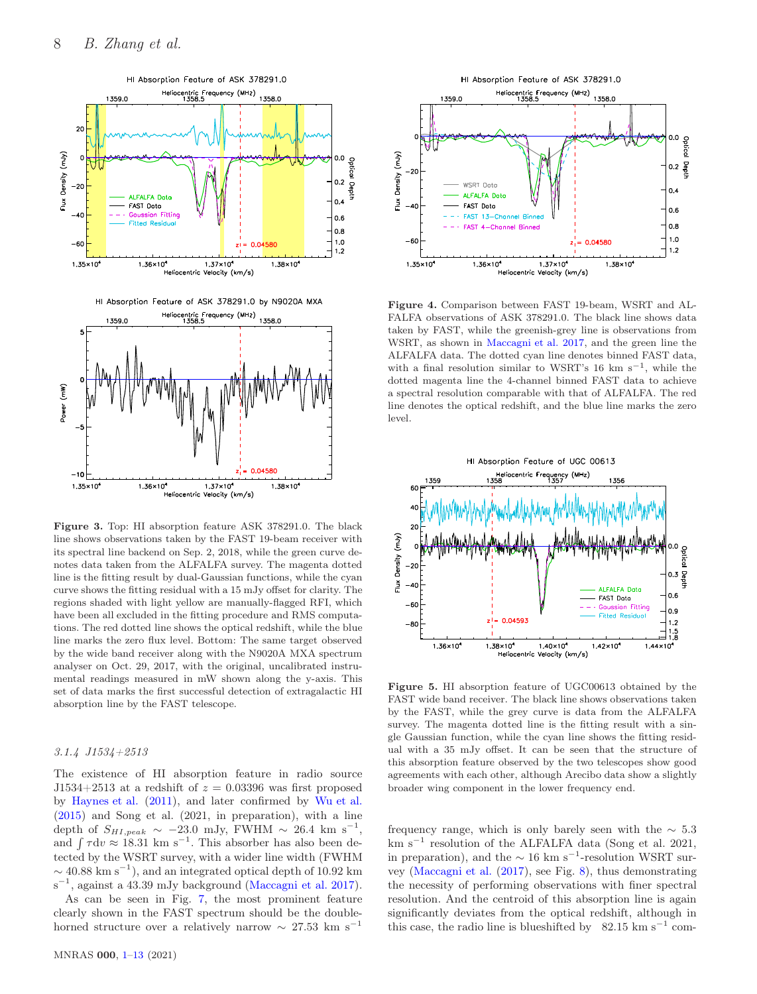

<span id="page-7-0"></span>Figure 3. Top: HI absorption feature ASK 378291.0. The black line shows observations taken by the FAST 19-beam receiver with its spectral line backend on Sep. 2, 2018, while the green curve denotes data taken from the ALFALFA survey. The magenta dotted line is the fitting result by dual-Gaussian functions, while the cyan curve shows the fitting residual with a 15 mJy offset for clarity. The regions shaded with light yellow are manually-flagged RFI, which have been all excluded in the fitting procedure and RMS computations. The red dotted line shows the optical redshift, while the blue line marks the zero flux level. Bottom: The same target observed by the wide band receiver along with the N9020A MXA spectrum analyser on Oct. 29, 2017, with the original, uncalibrated instrumental readings measured in mW shown along the y-axis. This set of data marks the first successful detection of extragalactic HI absorption line by the FAST telescope.

# 3.1.4 J1534+2513

The existence of HI absorption feature in radio source J1534+2513 at a redshift of  $z = 0.03396$  was first proposed by [Haynes et al.](#page-11-27) [\(2011\)](#page-11-27), and later confirmed by [Wu et al.](#page-12-3) [\(2015](#page-12-3)) and Song et al. (2021, in preparation), with a line depth of  $S_{HI,peak} \sim -23.0$  mJy, FWHM  $\sim 26.4$  km s<sup>-1</sup>, and  $\int \tau dv \approx 18.31 \text{ km s}^{-1}$ . This absorber has also been detected by the WSRT survey, with a wider line width (FWHM  $\sim$  40.88 km s<sup>-1</sup>), and an integrated optical depth of 10.92 km s<sup>-1</sup>, against a 43.39 mJy background [\(Maccagni et al. 2017](#page-12-4)).

As can be seen in Fig. [7,](#page-8-1) the most prominent feature clearly shown in the FAST spectrum should be the doublehorned structure over a relatively narrow  $\sim 27.53 \text{ km s}^{-1}$ 



<span id="page-7-1"></span>Figure 4. Comparison between FAST 19-beam, WSRT and AL-FALFA observations of ASK 378291.0. The black line shows data taken by FAST, while the greenish-grey line is observations from WSRT, as shown in [Maccagni et al. 2017,](#page-12-4) and the green line the ALFALFA data. The dotted cyan line denotes binned FAST data, with a final resolution similar to WSRT's 16 km s<sup>-1</sup>, while the dotted magenta line the 4-channel binned FAST data to achieve a spectral resolution comparable with that of ALFALFA. The red line denotes the optical redshift, and the blue line marks the zero level.



<span id="page-7-2"></span>Figure 5. HI absorption feature of UGC00613 obtained by the FAST wide band receiver. The black line shows observations taken by the FAST, while the grey curve is data from the ALFALFA survey. The magenta dotted line is the fitting result with a single Gaussian function, while the cyan line shows the fitting residual with a 35 mJy offset. It can be seen that the structure of this absorption feature observed by the two telescopes show good agreements with each other, although Arecibo data show a slightly broader wing component in the lower frequency end.

frequency range, which is only barely seen with the  $\sim 5.3$ km s<sup>−</sup><sup>1</sup> resolution of the ALFALFA data (Song et al. 2021, in preparation), and the  $\sim 16 \text{ km s}^{-1}$ -resolution WSRT survey [\(Maccagni et al.](#page-12-4) [\(2017](#page-12-4)), see Fig. [8\)](#page-8-2), thus demonstrating the necessity of performing observations with finer spectral resolution. And the centroid of this absorption line is again significantly deviates from the optical redshift, although in this case, the radio line is blueshifted by  $82.15 \text{ km s}^{-1}$  com-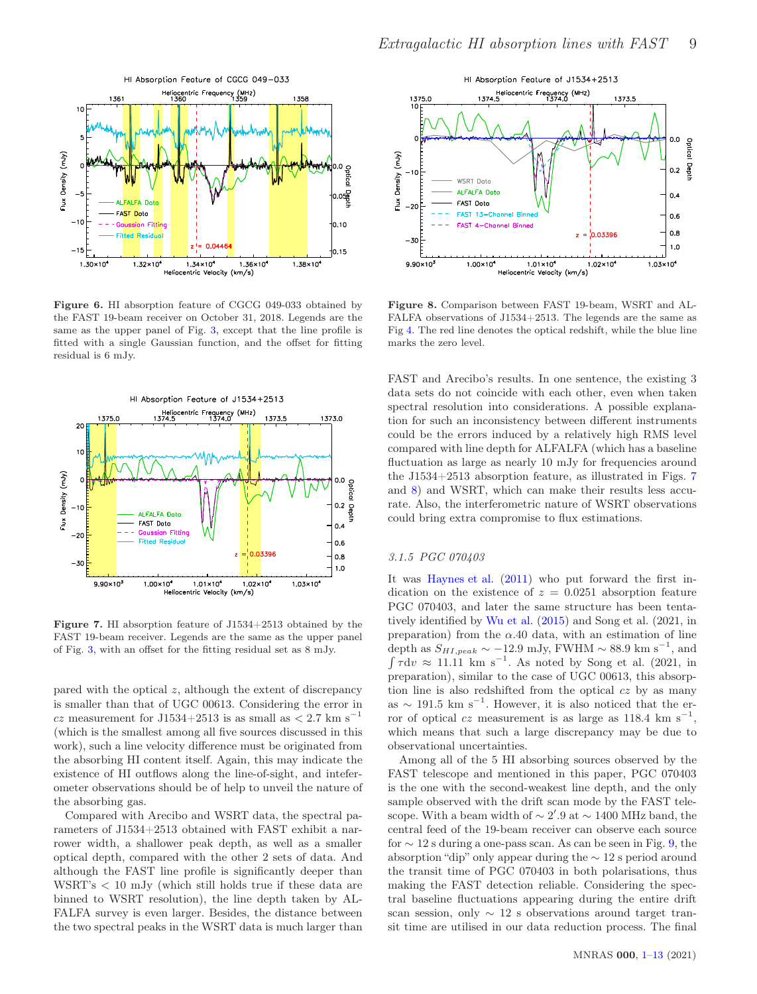

<span id="page-8-0"></span>Figure 6. HI absorption feature of CGCG 049-033 obtained by the FAST 19-beam receiver on October 31, 2018. Legends are the same as the upper panel of Fig. [3,](#page-7-0) except that the line profile is fitted with a single Gaussian function, and the offset for fitting residual is 6 mJy.



<span id="page-8-1"></span>Figure 7. HI absorption feature of J1534+2513 obtained by the FAST 19-beam receiver. Legends are the same as the upper panel of Fig. [3,](#page-7-0) with an offset for the fitting residual set as 8 mJy.

pared with the optical  $z$ , although the extent of discrepancy is smaller than that of UGC 00613. Considering the error in cz measurement for J1534+2513 is as small as  $\langle 2.7 \text{ km s}^{-1} \rangle$ (which is the smallest among all five sources discussed in this work), such a line velocity difference must be originated from the absorbing HI content itself. Again, this may indicate the existence of HI outflows along the line-of-sight, and inteferometer observations should be of help to unveil the nature of the absorbing gas.

Compared with Arecibo and WSRT data, the spectral parameters of J1534+2513 obtained with FAST exhibit a narrower width, a shallower peak depth, as well as a smaller optical depth, compared with the other 2 sets of data. And although the FAST line profile is significantly deeper than WSRT's < 10 mJy (which still holds true if these data are binned to WSRT resolution), the line depth taken by AL-FALFA survey is even larger. Besides, the distance between the two spectral peaks in the WSRT data is much larger than



<span id="page-8-2"></span>Figure 8. Comparison between FAST 19-beam, WSRT and AL-FALFA observations of J1534+2513. The legends are the same as Fig [4.](#page-7-1) The red line denotes the optical redshift, while the blue line marks the zero level.

FAST and Arecibo's results. In one sentence, the existing 3 data sets do not coincide with each other, even when taken spectral resolution into considerations. A possible explanation for such an inconsistency between different instruments could be the errors induced by a relatively high RMS level compared with line depth for ALFALFA (which has a baseline fluctuation as large as nearly 10 mJy for frequencies around the J1534+2513 absorption feature, as illustrated in Figs. [7](#page-8-1) and [8\)](#page-8-2) and WSRT, which can make their results less accurate. Also, the interferometric nature of WSRT observations could bring extra compromise to flux estimations.

#### 3.1.5 PGC 070403

It was [Haynes et al.](#page-11-27) [\(2011](#page-11-27)) who put forward the first indication on the existence of  $z = 0.0251$  absorption feature PGC 070403, and later the same structure has been tentatively identified by [Wu et al.](#page-12-3) [\(2015](#page-12-3)) and Song et al. (2021, in preparation) from the  $\alpha$ .40 data, with an estimation of line depth as  $S_{HI,peak} \sim -12.9$  mJy, FWHM  $\sim 88.9$  km s<sup>-1</sup>, and  $\int \tau dv \approx 11.11 \text{ km s}^{-1}$ . As noted by Song et al. (2021, in preparation), similar to the case of UGC 00613, this absorption line is also redshifted from the optical  $cz$  by as many as  $\sim$  191.5 km s<sup>-1</sup>. However, it is also noticed that the error of optical  $cz$  measurement is as large as 118.4 km s<sup>-1</sup>, which means that such a large discrepancy may be due to observational uncertainties.

Among all of the 5 HI absorbing sources observed by the FAST telescope and mentioned in this paper, PGC 070403 is the one with the second-weakest line depth, and the only sample observed with the drift scan mode by the FAST telescope. With a beam width of  $\sim 2'.9$  at  $\sim 1400$  MHz band, the central feed of the 19-beam receiver can observe each source for  $\sim$  12 s during a one-pass scan. As can be seen in Fig. [9,](#page-9-0) the absorption "dip" only appear during the ∼ 12 s period around the transit time of PGC 070403 in both polarisations, thus making the FAST detection reliable. Considering the spectral baseline fluctuations appearing during the entire drift scan session, only  $\sim$  12 s observations around target transit time are utilised in our data reduction process. The final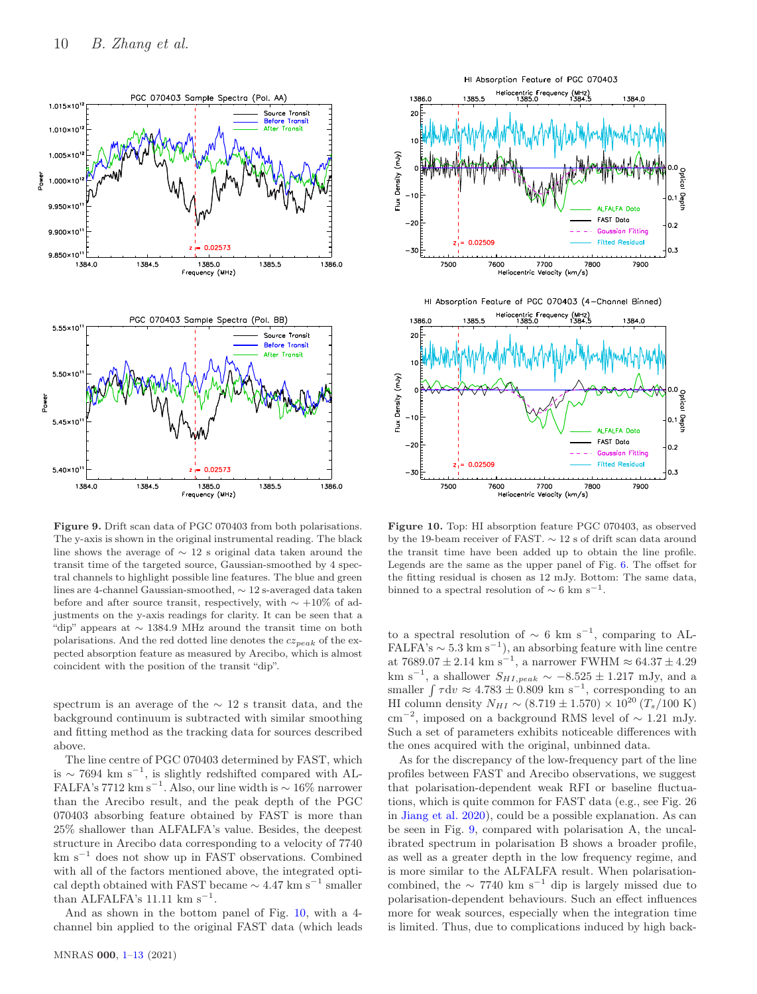

<span id="page-9-0"></span>Figure 9. Drift scan data of PGC 070403 from both polarisations. The y-axis is shown in the original instrumental reading. The black line shows the average of ∼ 12 s original data taken around the transit time of the targeted source, Gaussian-smoothed by 4 spectral channels to highlight possible line features. The blue and green lines are 4-channel Gaussian-smoothed, ∼ 12 s-averaged data taken before and after source transit, respectively, with  $\sim +10\%$  of adjustments on the y-axis readings for clarity. It can be seen that a "dip" appears at ∼ 1384.9 MHz around the transit time on both polarisations. And the red dotted line denotes the  $cz_{peak}$  of the expected absorption feature as measured by Arecibo, which is almost coincident with the position of the transit "dip".

spectrum is an average of the ∼ 12 s transit data, and the background continuum is subtracted with similar smoothing and fitting method as the tracking data for sources described above.

The line centre of PGC 070403 determined by FAST, which is  $\sim$  7694 km s<sup>-1</sup>, is slightly redshifted compared with AL-FALFA's 7712 km s<sup>−1</sup>. Also, our line width is  $\sim 16\%$  narrower than the Arecibo result, and the peak depth of the PGC 070403 absorbing feature obtained by FAST is more than 25% shallower than ALFALFA's value. Besides, the deepest structure in Arecibo data corresponding to a velocity of 7740  ${\rm km~s^{-1}}$  does not show up in FAST observations. Combined with all of the factors mentioned above, the integrated optical depth obtained with FAST became  $\sim 4.47 \text{ km s}^{-1}$  smaller than ALFALFA's 11.11  $\text{km s}^{-1}$ .

And as shown in the bottom panel of Fig. [10,](#page-9-1) with a 4 channel bin applied to the original FAST data (which leads



<span id="page-9-1"></span>Figure 10. Top: HI absorption feature PGC 070403, as observed by the 19-beam receiver of FAST. ∼ 12 s of drift scan data around the transit time have been added up to obtain the line profile. Legends are the same as the upper panel of Fig. [6.](#page-8-0) The offset for the fitting residual is chosen as 12 mJy. Bottom: The same data, binned to a spectral resolution of  $\sim 6$  km s<sup>-1</sup>.

to a spectral resolution of  $\sim 6 \text{ km s}^{-1}$ , comparing to AL-FALFA's  $\sim 5.3 \text{ km s}^{-1}$ , an absorbing feature with line centre at 7689.07 ± 2.14 km s<sup>-1</sup>, a narrower FWHM ≈ 64.37 ± 4.29 km s<sup>-1</sup>, a shallower  $S_{HI,peak} \sim -8.525 \pm 1.217$  mJy, and a smaller  $\int \tau dv \approx 4.783 \pm 0.809$  km s<sup>-1</sup>, corresponding to an HI column density  $N_{HI} \sim (8.719 \pm 1.570) \times 10^{20} (T_s/100 \text{ K})$  $\text{cm}^{-2}$ , imposed on a background RMS level of ~ 1.21 mJy. Such a set of parameters exhibits noticeable differences with the ones acquired with the original, unbinned data.

As for the discrepancy of the low-frequency part of the line profiles between FAST and Arecibo observations, we suggest that polarisation-dependent weak RFI or baseline fluctuations, which is quite common for FAST data (e.g., see Fig. 26 in [Jiang et al. 2020\)](#page-11-28), could be a possible explanation. As can be seen in Fig. [9,](#page-9-0) compared with polarisation A, the uncalibrated spectrum in polarisation B shows a broader profile, as well as a greater depth in the low frequency regime, and is more similar to the ALFALFA result. When polarisationcombined, the  $\sim$  7740 km s<sup>-1</sup> dip is largely missed due to polarisation-dependent behaviours. Such an effect influences more for weak sources, especially when the integration time is limited. Thus, due to complications induced by high back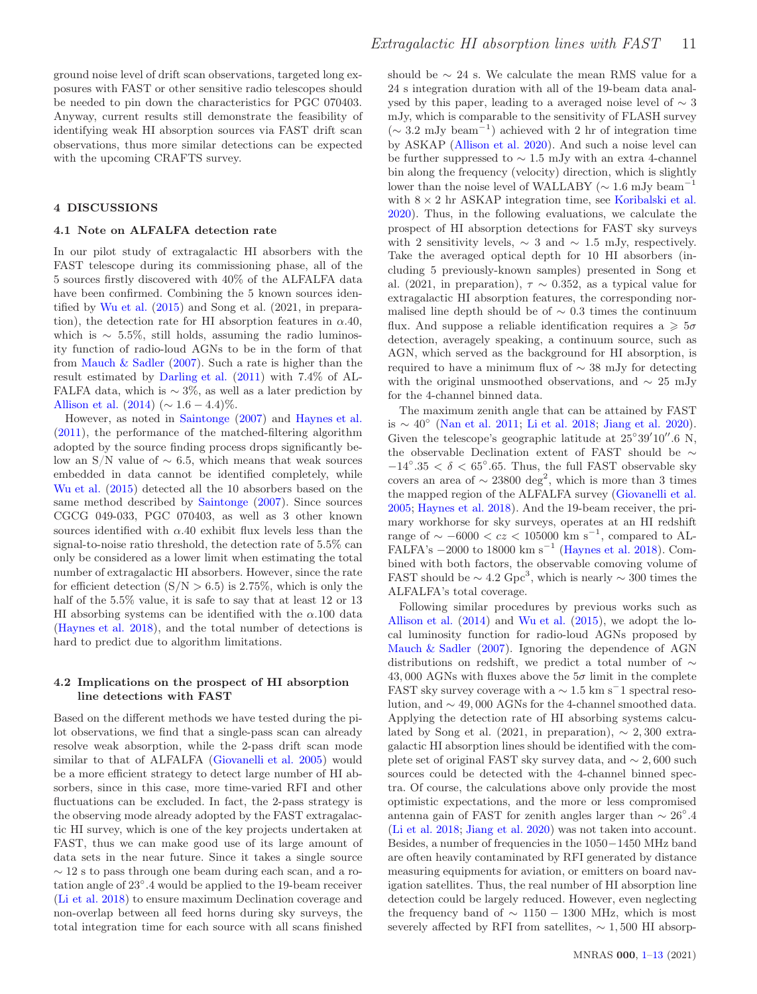ground noise level of drift scan observations, targeted long exposures with FAST or other sensitive radio telescopes should be needed to pin down the characteristics for PGC 070403. Anyway, current results still demonstrate the feasibility of identifying weak HI absorption sources via FAST drift scan observations, thus more similar detections can be expected with the upcoming CRAFTS survey.

#### <span id="page-10-0"></span>4 DISCUSSIONS

#### 4.1 Note on ALFALFA detection rate

In our pilot study of extragalactic HI absorbers with the FAST telescope during its commissioning phase, all of the 5 sources firstly discovered with 40% of the ALFALFA data have been confirmed. Combining the 5 known sources identified by [Wu et al.](#page-12-3) [\(2015](#page-12-3)) and Song et al. (2021, in preparation), the detection rate for HI absorption features in  $\alpha$ .40, which is  $\sim 5.5\%$ , still holds, assuming the radio luminosity function of radio-loud AGNs to be in the form of that from [Mauch & Sadler](#page-12-19) [\(2007\)](#page-12-19). Such a rate is higher than the result estimated by [Darling et al.](#page-11-5) [\(2011](#page-11-5)) with 7.4% of AL-FALFA data, which is  $\sim$  3%, as well as a later prediction by [Allison et al.](#page-11-17)  $(2014) (\sim 1.6 - 4.4)\%$  $(2014) (\sim 1.6 - 4.4)\%$ .

However, as noted in [Saintonge](#page-12-20) [\(2007](#page-12-20)) and [Haynes et al.](#page-11-27) [\(2011](#page-11-27)), the performance of the matched-filtering algorithm adopted by the source finding process drops significantly below an S/N value of  $\sim$  6.5, which means that weak sources embedded in data cannot be identified completely, while [Wu et al.](#page-12-3) [\(2015](#page-12-3)) detected all the 10 absorbers based on the same method described by [Saintonge](#page-12-20) [\(2007](#page-12-20)). Since sources CGCG 049-033, PGC 070403, as well as 3 other known sources identified with  $\alpha$ .40 exhibit flux levels less than the signal-to-noise ratio threshold, the detection rate of 5.5% can only be considered as a lower limit when estimating the total number of extragalactic HI absorbers. However, since the rate for efficient detection  $(S/N > 6.5)$  is 2.75%, which is only the half of the  $5.5\%$  value, it is safe to say that at least 12 or 13 HI absorbing systems can be identified with the  $\alpha$ .100 data [\(Haynes et al. 2018](#page-11-20)), and the total number of detections is hard to predict due to algorithm limitations.

# 4.2 Implications on the prospect of HI absorption line detections with FAST

Based on the different methods we have tested during the pilot observations, we find that a single-pass scan can already resolve weak absorption, while the 2-pass drift scan mode similar to that of ALFALFA [\(Giovanelli et al. 2005\)](#page-11-19) would be a more efficient strategy to detect large number of HI absorbers, since in this case, more time-varied RFI and other fluctuations can be excluded. In fact, the 2-pass strategy is the observing mode already adopted by the FAST extragalactic HI survey, which is one of the key projects undertaken at FAST, thus we can make good use of its large amount of data sets in the near future. Since it takes a single source  $\sim$  12 s to pass through one beam during each scan, and a rotation angle of 23◦ .4 would be applied to the 19-beam receiver [\(Li et al. 2018](#page-12-12)) to ensure maximum Declination coverage and non-overlap between all feed horns during sky surveys, the total integration time for each source with all scans finished should be  $\sim$  24 s. We calculate the mean RMS value for a 24 s integration duration with all of the 19-beam data analysed by this paper, leading to a averaged noise level of ∼ 3 mJy, which is comparable to the sensitivity of FLASH survey (<sup>∼</sup> <sup>3</sup>.<sup>2</sup> mJy beam<sup>−</sup><sup>1</sup> ) achieved with 2 hr of integration time by ASKAP [\(Allison et al. 2020\)](#page-11-24). And such a noise level can be further suppressed to ∼ 1.5 mJy with an extra 4-channel bin along the frequency (velocity) direction, which is slightly lower than the noise level of WALLABY ( $\sim 1.6$  mJy beam<sup>-1</sup> with  $8 \times 2$  hr ASKAP integration time, see [Koribalski et al.](#page-12-14) [2020](#page-12-14)). Thus, in the following evaluations, we calculate the prospect of HI absorption detections for FAST sky surveys with 2 sensitivity levels,  $\sim$  3 and  $\sim$  1.5 mJy, respectively. Take the averaged optical depth for 10 HI absorbers (including 5 previously-known samples) presented in Song et al. (2021, in preparation),  $\tau \sim 0.352$ , as a typical value for extragalactic HI absorption features, the corresponding normalised line depth should be of  $\sim$  0.3 times the continuum flux. And suppose a reliable identification requires a  $\geq 5\sigma$ detection, averagely speaking, a continuum source, such as AGN, which served as the background for HI absorption, is required to have a minimum flux of ∼ 38 mJy for detecting with the original unsmoothed observations, and  $\sim 25$  mJy for the 4-channel binned data.

The maximum zenith angle that can be attained by FAST is  $\sim 40^\circ$  [\(Nan et al. 2011](#page-12-11); [Li et al. 2018](#page-12-12); [Jiang et al. 2020](#page-11-28)). Given the telescope's geographic latitude at  $25^{\circ}39'10''.6$  N, the observable Declination extent of FAST should be  $\sim$  $-14°.35 < \delta < 65°.65$ . Thus, the full FAST observable sky covers an area of  $\sim$  23800 deg<sup>2</sup>, which is more than 3 times the mapped region of the ALFALFA survey [\(Giovanelli et al.](#page-11-19) [2005](#page-11-19); [Haynes et al. 2018](#page-11-20)). And the 19-beam receiver, the primary workhorse for sky surveys, operates at an HI redshift range of  $\sim -6000 < cz < 105000$  km s<sup>-1</sup>, compared to AL-FALFA's  $-2000$  to 18000 km s<sup>-1</sup> [\(Haynes et al. 2018](#page-11-20)). Combined with both factors, the observable comoving volume of FAST should be  $\sim 4.2 \text{ Gpc}^3$ , which is nearly  $\sim 300$  times the ALFALFA's total coverage.

Following similar procedures by previous works such as [Allison et al.](#page-11-17) [\(2014](#page-11-17)) and [Wu et al.](#page-12-3) [\(2015](#page-12-3)), we adopt the local luminosity function for radio-loud AGNs proposed by [Mauch & Sadler](#page-12-19) [\(2007](#page-12-19)). Ignoring the dependence of AGN distributions on redshift, we predict a total number of ∼ 43,000 AGNs with fluxes above the  $5\sigma$  limit in the complete FAST sky survey coverage with a  $\sim 1.5$  km s<sup>-1</sup> spectral resolution, and ∼ 49, 000 AGNs for the 4-channel smoothed data. Applying the detection rate of HI absorbing systems calculated by Song et al. (2021, in preparation),  $\sim 2,300$  extragalactic HI absorption lines should be identified with the complete set of original FAST sky survey data, and ∼ 2, 600 such sources could be detected with the 4-channel binned spectra. Of course, the calculations above only provide the most optimistic expectations, and the more or less compromised antenna gain of FAST for zenith angles larger than  $\sim 26^{\circ}.4$ [\(Li et al. 2018](#page-12-12); [Jiang et al. 2020\)](#page-11-28) was not taken into account. Besides, a number of frequencies in the 1050−1450 MHz band are often heavily contaminated by RFI generated by distance measuring equipments for aviation, or emitters on board navigation satellites. Thus, the real number of HI absorption line detection could be largely reduced. However, even neglecting the frequency band of  $\sim 1150 - 1300$  MHz, which is most severely affected by RFI from satellites,  $\sim 1,500$  HI absorp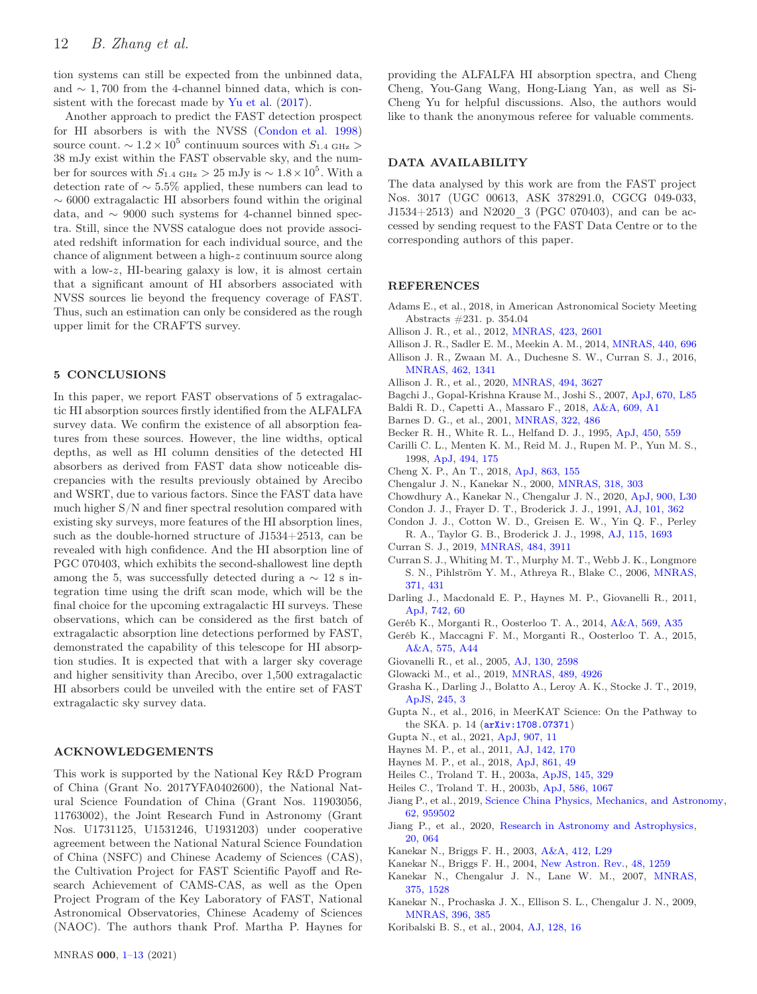tion systems can still be expected from the unbinned data, and  $\sim$  1,700 from the 4-channel binned data, which is consistent with the forecast made by [Yu et al.](#page-12-13) [\(2017](#page-12-13)).

Another approach to predict the FAST detection prospect for HI absorbers is with the NVSS [\(Condon et al. 1998](#page-11-29)) source count.  $\sim 1.2 \times 10^5$  continuum sources with  $S_{1.4 \text{ GHz}} >$ 38 mJy exist within the FAST observable sky, and the number for sources with  $S_{1.4 \text{ GHz}} > 25 \text{ mJy}$  is ~  $1.8 \times 10^5$ . With a detection rate of ∼ 5.5% applied, these numbers can lead to  $\sim$  6000 extragalactic HI absorbers found within the original data, and ∼ 9000 such systems for 4-channel binned spectra. Still, since the NVSS catalogue does not provide associated redshift information for each individual source, and the chance of alignment between a high-z continuum source along with a low-z, HI-bearing galaxy is low, it is almost certain that a significant amount of HI absorbers associated with NVSS sources lie beyond the frequency coverage of FAST. Thus, such an estimation can only be considered as the rough upper limit for the CRAFTS survey.

# <span id="page-11-0"></span>5 CONCLUSIONS

In this paper, we report FAST observations of 5 extragalactic HI absorption sources firstly identified from the ALFALFA survey data. We confirm the existence of all absorption features from these sources. However, the line widths, optical depths, as well as HI column densities of the detected HI absorbers as derived from FAST data show noticeable discrepancies with the results previously obtained by Arecibo and WSRT, due to various factors. Since the FAST data have much higher S/N and finer spectral resolution compared with existing sky surveys, more features of the HI absorption lines, such as the double-horned structure of J1534+2513, can be revealed with high confidence. And the HI absorption line of PGC 070403, which exhibits the second-shallowest line depth among the 5, was successfully detected during a  $\sim$  12 s integration time using the drift scan mode, which will be the final choice for the upcoming extragalactic HI surveys. These observations, which can be considered as the first batch of extragalactic absorption line detections performed by FAST, demonstrated the capability of this telescope for HI absorption studies. It is expected that with a larger sky coverage and higher sensitivity than Arecibo, over 1,500 extragalactic HI absorbers could be unveiled with the entire set of FAST extragalactic sky survey data.

## ACKNOWLEDGEMENTS

This work is supported by the National Key R&D Program of China (Grant No. 2017YFA0402600), the National Natural Science Foundation of China (Grant Nos. 11903056, 11763002), the Joint Research Fund in Astronomy (Grant Nos. U1731125, U1531246, U1931203) under cooperative agreement between the National Natural Science Foundation of China (NSFC) and Chinese Academy of Sciences (CAS), the Cultivation Project for FAST Scientific Payoff and Research Achievement of CAMS-CAS, as well as the Open Project Program of the Key Laboratory of FAST, National Astronomical Observatories, Chinese Academy of Sciences (NAOC). The authors thank Prof. Martha P. Haynes for providing the ALFALFA HI absorption spectra, and Cheng Cheng, You-Gang Wang, Hong-Liang Yan, as well as Si-Cheng Yu for helpful discussions. Also, the authors would like to thank the anonymous referee for valuable comments.

## DATA AVAILABILITY

The data analysed by this work are from the FAST project Nos. 3017 (UGC 00613, ASK 378291.0, CGCG 049-033, J1534+2513) and N2020\_3 (PGC 070403), and can be accessed by sending request to the FAST Data Centre or to the corresponding authors of this paper.

## **REFERENCES**

- <span id="page-11-25"></span>Adams E., et al., 2018, in American Astronomical Society Meeting Abstracts #231. p. 354.04
- <span id="page-11-6"></span>Allison J. R., et al., 2012, [MNRAS,](http://dx.doi.org/10.1111/j.1365-2966.2012.21062.x) [423, 2601](https://ui.adsabs.harvard.edu/abs/2012MNRAS.423.2601A)
- <span id="page-11-17"></span>Allison J. R., Sadler E. M., Meekin A. M., 2014, [MNRAS,](http://dx.doi.org/10.1093/mnras/stu289) [440, 696](https://ui.adsabs.harvard.edu/abs/2014MNRAS.440..696A)
- <span id="page-11-7"></span>Allison J. R., Zwaan M. A., Duchesne S. W., Curran S. J., 2016, [MNRAS,](http://dx.doi.org/10.1093/mnras/stw1722) [462, 1341](https://ui.adsabs.harvard.edu/abs/2016MNRAS.462.1341A)
- <span id="page-11-24"></span>Allison J. R., et al., 2020, [MNRAS,](http://dx.doi.org/10.1093/mnras/staa949) [494, 3627](https://ui.adsabs.harvard.edu/abs/2020MNRAS.494.3627A)
- <span id="page-11-31"></span>Bagchi J., Gopal-Krishna Krause M., Joshi S., 2007, [ApJ,](http://dx.doi.org/10.1086/524220) [670, L85](https://ui.adsabs.harvard.edu/abs/2007ApJ...670L..85B)
- <span id="page-11-34"></span>Baldi R. D., Capetti A., Massaro F., 2018, [A&A,](http://dx.doi.org/10.1051/0004-6361/201731333) [609, A1](https://ui.adsabs.harvard.edu/abs/2018A&A...609A...1B)
- <span id="page-11-18"></span>Barnes D. G., et al., 2001, [MNRAS,](http://dx.doi.org/10.1046/j.1365-8711.2001.04102.x) [322, 486](https://ui.adsabs.harvard.edu/abs/2001MNRAS.322..486B)
- <span id="page-11-30"></span>Becker R. H., White R. L., Helfand D. J., 1995, [ApJ,](http://dx.doi.org/10.1086/176166) [450, 559](https://ui.adsabs.harvard.edu/abs/1995ApJ...450..559B)
- <span id="page-11-1"></span>Carilli C. L., Menten K. M., Reid M. J., Rupen M. P., Yun M. S., 1998, [ApJ,](http://dx.doi.org/10.1086/305191) [494, 175](https://ui.adsabs.harvard.edu/abs/1998ApJ...494..175C)
- <span id="page-11-35"></span>Cheng X. P., An T., 2018, [ApJ,](http://dx.doi.org/10.3847/1538-4357/aad22c) [863, 155](https://ui.adsabs.harvard.edu/abs/2018ApJ...863..155C)
- <span id="page-11-2"></span>Chengalur J. N., Kanekar N., 2000, [MNRAS,](http://dx.doi.org/10.1046/j.1365-8711.2000.03793.x) [318, 303](https://ui.adsabs.harvard.edu/abs/2000MNRAS.318..303C)
- <span id="page-11-22"></span>Chowdhury A., Kanekar N., Chengalur J. N., 2020, [ApJ,](http://dx.doi.org/10.3847/2041-8213/abb13d) [900, L30](https://ui.adsabs.harvard.edu/abs/2020ApJ...900L..30C)
- <span id="page-11-36"></span>Condon J. J., Frayer D. T., Broderick J. J., 1991, [AJ,](http://dx.doi.org/10.1086/115692) [101, 362](https://ui.adsabs.harvard.edu/abs/1991AJ....101..362C)
- <span id="page-11-29"></span>Condon J. J., Cotton W. D., Greisen E. W., Yin Q. F., Perley R. A., Taylor G. B., Broderick J. J., 1998, [AJ,](http://dx.doi.org/10.1086/300337) [115, 1693](https://ui.adsabs.harvard.edu/abs/1998AJ....115.1693C)
- <span id="page-11-9"></span>Curran S. J., 2019, [MNRAS,](http://dx.doi.org/10.1093/mnras/stz215) [484, 3911](https://ui.adsabs.harvard.edu/abs/2019MNRAS.484.3911C)
- <span id="page-11-4"></span>Curran S. J., Whiting M. T., Murphy M. T., Webb J. K., Longmore S. N., Pihlström Y. M., Athreya R., Blake C., 2006, [MNRAS,](http://dx.doi.org/10.1111/j.1365-2966.2006.10677.x) [371, 431](https://ui.adsabs.harvard.edu/abs/2006MNRAS.371..431C)
- <span id="page-11-5"></span>Darling J., Macdonald E. P., Haynes M. P., Giovanelli R., 2011, [ApJ,](http://dx.doi.org/10.1088/0004-637X/742/1/60) [742, 60](https://ui.adsabs.harvard.edu/abs/2011ApJ...742...60D)
- <span id="page-11-12"></span>Geréb K., Morganti R., Oosterloo T. A., 2014, [A&A,](http://dx.doi.org/10.1051/0004-6361/201423999) [569, A35](https://ui.adsabs.harvard.edu/abs/2014A&A...569A..35G)
- <span id="page-11-13"></span>Geréb K., Maccagni F. M., Morganti R., Oosterloo T. A., 2015, [A&A,](http://dx.doi.org/10.1051/0004-6361/201424655) [575, A44](https://ui.adsabs.harvard.edu/abs/2015A&A...575A..44G)
- <span id="page-11-19"></span>Giovanelli R., et al., 2005, [AJ,](http://dx.doi.org/10.1086/497431) [130, 2598](https://ui.adsabs.harvard.edu/abs/2005AJ....130.2598G)
- <span id="page-11-14"></span>Glowacki M., et al., 2019, [MNRAS,](http://dx.doi.org/10.1093/mnras/stz2452) [489, 4926](https://ui.adsabs.harvard.edu/abs/2019MNRAS.489.4926G)
- <span id="page-11-32"></span>Grasha K., Darling J., Bolatto A., Leroy A. K., Stocke J. T., 2019, [ApJS,](http://dx.doi.org/10.3847/1538-4365/ab4906) [245, 3](https://ui.adsabs.harvard.edu/abs/2019ApJS..245....3G)
- <span id="page-11-23"></span>Gupta N., et al., 2016, in MeerKAT Science: On the Pathway to the SKA. p. 14 ([arXiv:1708.07371](http://arxiv.org/abs/1708.07371))
- <span id="page-11-26"></span>Gupta N., et al., 2021, [ApJ,](http://dx.doi.org/10.3847/1538-4357/abcb85) [907, 11](https://ui.adsabs.harvard.edu/abs/2021ApJ...907...11G)
- <span id="page-11-27"></span>Haynes M. P., et al., 2011, [AJ,](http://dx.doi.org/10.1088/0004-6256/142/5/170) [142, 170](https://ui.adsabs.harvard.edu/abs/2011AJ....142..170H)
- <span id="page-11-20"></span>Haynes M. P., et al., 2018, [ApJ,](http://dx.doi.org/10.3847/1538-4357/aac956) [861, 49](https://ui.adsabs.harvard.edu/abs/2018ApJ...861...49H)
- <span id="page-11-15"></span>Heiles C., Troland T. H., 2003a, [ApJS,](http://dx.doi.org/10.1086/367785) [145, 329](https://ui.adsabs.harvard.edu/abs/2003ApJS..145..329H)
- <span id="page-11-16"></span>Heiles C., Troland T. H., 2003b, [ApJ,](http://dx.doi.org/10.1086/367828) [586, 1067](https://ui.adsabs.harvard.edu/abs/2003ApJ...586.1067H)
- <span id="page-11-21"></span>Jiang P., et al., 2019, [Science China Physics, Mechanics, and Astronomy,](http://dx.doi.org/10.1007/s11433-018-9376-1) [62, 959502](https://ui.adsabs.harvard.edu/abs/2019SCPMA..6259502J)
- <span id="page-11-28"></span>Jiang P., et al., 2020, [Research in Astronomy and Astrophysics,](http://dx.doi.org/10.1088/1674-4527/20/5/64) [20, 064](https://ui.adsabs.harvard.edu/abs/2020RAA....20...64J)
- <span id="page-11-3"></span>Kanekar N., Briggs F. H., 2003, [A&A,](http://dx.doi.org/10.1051/0004-6361:20031676) [412, L29](https://ui.adsabs.harvard.edu/abs/2003A&A...412L..29K)
- <span id="page-11-8"></span>Kanekar N., Briggs F. H., 2004, [New Astron. Rev.,](http://dx.doi.org/10.1016/j.newar.2004.09.030) [48, 1259](https://ui.adsabs.harvard.edu/abs/2004NewAR..48.1259K)
- <span id="page-11-10"></span>Kanekar N., Chengalur J. N., Lane W. M., 2007, [MNRAS,](http://dx.doi.org/10.1111/j.1365-2966.2007.11430.x) [375, 1528](https://ui.adsabs.harvard.edu/abs/2007MNRAS.375.1528K)
- <span id="page-11-11"></span>Kanekar N., Prochaska J. X., Ellison S. L., Chengalur J. N., 2009, [MNRAS,](http://dx.doi.org/10.1111/j.1365-2966.2009.14661.x) [396, 385](https://ui.adsabs.harvard.edu/abs/2009MNRAS.396..385K)
- <span id="page-11-33"></span>Koribalski B. S., et al., 2004, [AJ,](http://dx.doi.org/10.1086/421744) [128, 16](https://ui.adsabs.harvard.edu/abs/2004AJ....128...16K)